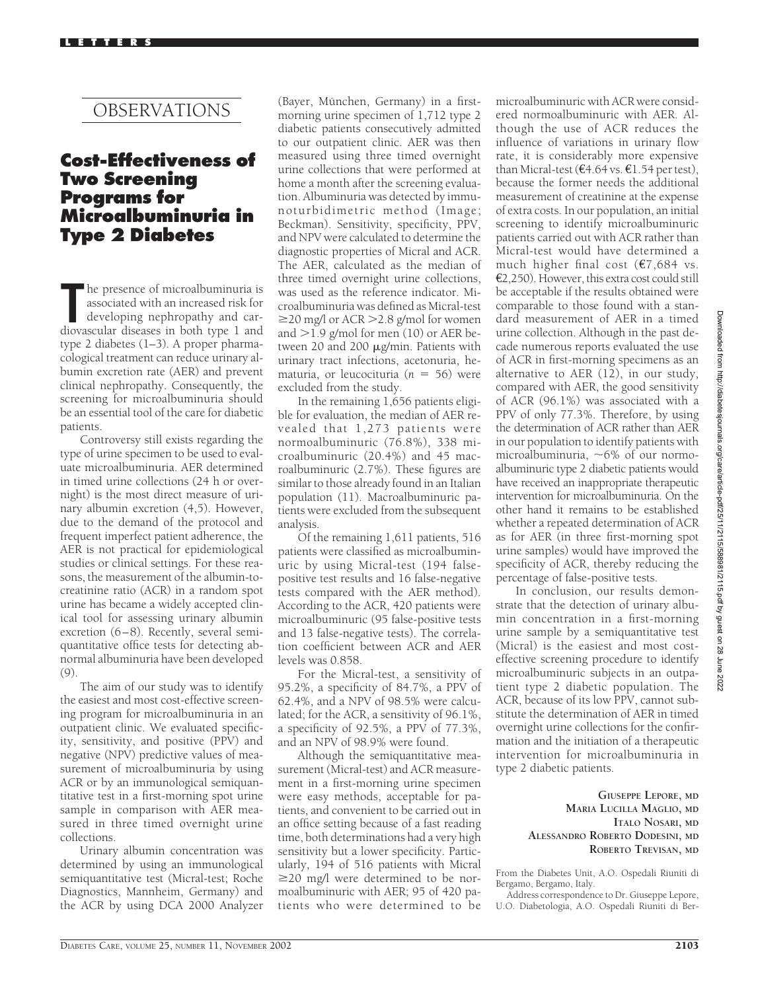# OBSERVATIONS

## **Cost-Effectiveness of Two Screening Programs for Microalbuminuria in Type 2 Diabetes**

The presence of microalbuminuria is<br>
associated with an increased risk for<br>
developing nephropathy and car-<br>
diovascular diseases in both type 1 and he presence of microalbuminuria is associated with an increased risk for developing nephropathy and cartype 2 diabetes (1–3). A proper pharmacological treatment can reduce urinary albumin excretion rate (AER) and prevent clinical nephropathy. Consequently, the screening for microalbuminuria should be an essential tool of the care for diabetic patients.

Controversy still exists regarding the type of urine specimen to be used to evaluate microalbuminuria. AER determined in timed urine collections (24 h or overnight) is the most direct measure of urinary albumin excretion (4,5). However, due to the demand of the protocol and frequent imperfect patient adherence, the AER is not practical for epidemiological studies or clinical settings. For these reasons, the measurement of the albumin-tocreatinine ratio (ACR) in a random spot urine has became a widely accepted clinical tool for assessing urinary albumin excretion (6–8). Recently, several semiquantitative office tests for detecting abnormal albuminuria have been developed  $(9)$ 

The aim of our study was to identify the easiest and most cost-effective screening program for microalbuminuria in an outpatient clinic. We evaluated specificity, sensitivity, and positive (PPV) and negative (NPV) predictive values of measurement of microalbuminuria by using ACR or by an immunological semiquantitative test in a first-morning spot urine sample in comparison with AER measured in three timed overnight urine collections.

Urinary albumin concentration was determined by using an immunological semiquantitative test (Micral-test; Roche Diagnostics, Mannheim, Germany) and the ACR by using DCA 2000 Analyzer

(Bayer, München, Germany) in a firstmorning urine specimen of 1,712 type 2 diabetic patients consecutively admitted to our outpatient clinic. AER was then measured using three timed overnight urine collections that were performed at home a month after the screening evaluation. Albuminuria was detected by immunoturbidimetric method (Image; Beckman). Sensitivity, specificity, PPV, and NPV were calculated to determine the diagnostic properties of Micral and ACR. The AER, calculated as the median of three timed overnight urine collections, was used as the reference indicator. Microalbuminuria was defined as Micral-test 20 mg/l or ACR 2.8 g/mol for women and  $>1.9$  g/mol for men (10) or AER between 20 and 200  $\mu$ g/min. Patients with urinary tract infections, acetonuria, hematuria, or leucocituria ( $n = 56$ ) were excluded from the study.

In the remaining 1,656 patients eligible for evaluation, the median of AER revealed that 1,273 patients were normoalbuminuric (76.8%), 338 microalbuminuric (20.4%) and 45 macroalbuminuric (2.7%). These figures are similar to those already found in an Italian population (11). Macroalbuminuric patients were excluded from the subsequent analysis.

Of the remaining 1,611 patients, 516 patients were classified as microalbuminuric by using Micral-test (194 falsepositive test results and 16 false-negative tests compared with the AER method). According to the ACR, 420 patients were microalbuminuric (95 false-positive tests and 13 false-negative tests). The correlation coefficient between ACR and AER levels was 0.858.

For the Micral-test, a sensitivity of 95.2%, a specificity of 84.7%, a PPV of 62.4%, and a NPV of 98.5% were calculated; for the ACR, a sensitivity of 96.1%, a specificity of 92.5%, a PPV of 77.3%, and an NPV of 98.9% were found.

Although the semiquantitative measurement (Micral-test) and ACR measurement in a first-morning urine specimen were easy methods, acceptable for patients, and convenient to be carried out in an office setting because of a fast reading time, both determinations had a very high sensitivity but a lower specificity. Particularly, 194 of 516 patients with Micral  $\geq$ 20 mg/l were determined to be normoalbuminuric with AER; 95 of 420 patients who were determined to be

microalbuminuric with ACR were considered normoalbuminuric with AER. Although the use of ACR reduces the influence of variations in urinary flow rate, it is considerably more expensive than Micral-test ( $\epsilon$ 4.64 vs.  $\epsilon$ 1.54 per test), because the former needs the additional measurement of creatinine at the expense of extra costs. In our population, an initial screening to identify microalbuminuric patients carried out with ACR rather than Micral-test would have determined a much higher final cost  $(E7, 684 \text{ vs.})$ €2,250). However, this extra cost could still be acceptable if the results obtained were comparable to those found with a standard measurement of AER in a timed urine collection. Although in the past decade numerous reports evaluated the use of ACR in first-morning specimens as an alternative to AER (12), in our study, compared with AER, the good sensitivity of ACR (96.1%) was associated with a PPV of only 77.3%. Therefore, by using the determination of ACR rather than AER in our population to identify patients with microalbuminuria,  $\sim 6\%$  of our normoalbuminuric type 2 diabetic patients would have received an inappropriate therapeutic intervention for microalbuminuria. On the other hand it remains to be established whether a repeated determination of ACR as for AER (in three first-morning spot urine samples) would have improved the specificity of ACR, thereby reducing the percentage of false-positive tests.

In conclusion, our results demonstrate that the detection of urinary albumin concentration in a first-morning urine sample by a semiquantitative test (Micral) is the easiest and most costeffective screening procedure to identify microalbuminuric subjects in an outpatient type 2 diabetic population. The ACR, because of its low PPV, cannot substitute the determination of AER in timed overnight urine collections for the confirmation and the initiation of a therapeutic intervention for microalbuminuria in type 2 diabetic patients.

> **GIUSEPPE LEPORE, MD MARIA LUCILLA MAGLIO, MD ITALO NOSARI, MD ALESSANDRO ROBERTO DODESINI, MD ROBERTO TREVISAN, MD**

From the Diabetes Unit, A.O. Ospedali Riuniti di Bergamo, Bergamo, Italy.

Address correspondence to Dr. Giuseppe Lepore, U.O. Diabetologia, A.O. Ospedali Riuniti di Ber-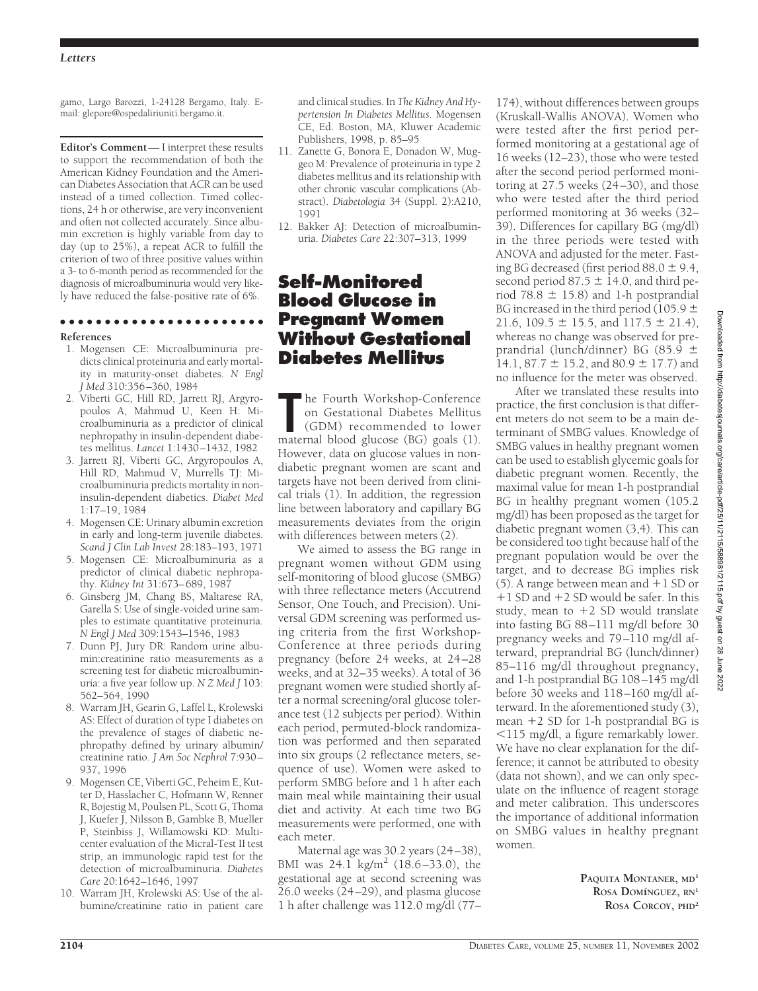### *Letters*

gamo, Largo Barozzi, 1-24128 Bergamo, Italy. Email: glepore@ospedaliriuniti.bergamo.it.

**Editor's Comment**— I interpret these results to support the recommendation of both the American Kidney Foundation and the American Diabetes Association that ACR can be used instead of a timed collection. Timed collections, 24 h or otherwise, are very inconvenient and often not collected accurately. Since albumin excretion is highly variable from day to day (up to 25%), a repeat ACR to fulfill the criterion of two of three positive values within a 3- to 6-month period as recommended for the diagnosis of microalbuminuria would very likely have reduced the false-positive rate of 6%.

### ●●●●●●●●●●●●●●●●●●●●●●● **References**

- 1. Mogensen CE: Microalbuminuria predicts clinical proteinuria and early mortality in maturity-onset diabetes. *N Engl J Med* 310:356–360, 1984
- 2. Viberti GC, Hill RD, Jarrett RJ, Argyropoulos A, Mahmud U, Keen H: Microalbuminuria as a predictor of clinical nephropathy in insulin-dependent diabetes mellitus. *Lancet* 1:1430–1432, 1982
- 3. Jarrett RJ, Viberti GC, Argyropoulos A, Hill RD, Mahmud V, Murrells TJ: Microalbuminuria predicts mortality in noninsulin-dependent diabetics. *Diabet Med* 1:17–19, 1984
- 4. Mogensen CE: Urinary albumin excretion in early and long-term juvenile diabetes. *Scand J Clin Lab Invest* 28:183–193, 1971
- 5. Mogensen CE: Microalbuminuria as a predictor of clinical diabetic nephropathy. *Kidney Int* 31:673–689, 1987
- 6. Ginsberg JM, Chang BS, Maltarese RA, Garella S: Use of single-voided urine samples to estimate quantitative proteinuria. *N Engl J Med* 309:1543–1546, 1983
- 7. Dunn PJ, Jury DR: Random urine albumin:creatinine ratio measurements as a screening test for diabetic microalbuminuria: a five year follow up. *N Z Med J* 103: 562–564, 1990
- 8. Warram JH, Gearin G, Laffel L, Krolewski AS: Effect of duration of type I diabetes on the prevalence of stages of diabetic nephropathy defined by urinary albumin/ creatinine ratio. *J Am Soc Nephrol* 7:930– 937, 1996
- 9. Mogensen CE, Viberti GC, Peheim E, Kutter D, Hasslacher C, Hofmann W, Renner R, Bojestig M, Poulsen PL, Scott G, Thoma J, Kuefer J, Nilsson B, Gambke B, Mueller P, Steinbiss J, Willamowski KD: Multicenter evaluation of the Micral-Test II test strip, an immunologic rapid test for the detection of microalbuminuria. *Diabetes Care* 20:1642–1646, 1997
- 10. Warram JH, Krolewski AS: Use of the albumine/creatinine ratio in patient care

and clinical studies. In *The Kidney And Hypertension In Diabetes Mellitus*. Mogensen CE, Ed. Boston, MA, Kluwer Academic Publishers, 1998, p. 85–95

- 11. Zanette G, Bonora E, Donadon W, Muggeo M: Prevalence of proteinuria in type 2 diabetes mellitus and its relationship with other chronic vascular complications (Abstract). *Diabetologia* 34 (Suppl. 2):A210, 1991
- 12. Bakker AJ: Detection of microalbuminuria. *Diabetes Care* 22:307–313, 1999

# **Self-Monitored Blood Glucose in Pregnant Women Without Gestational Diabetes Mellitus**

**The Fourth Workshop-Conference**<br>
on Gestational Diabetes Mellitus<br>
(GDM) recommended to lower<br>
maternal blood glucose (BG) goals (1). he Fourth Workshop-Conference on Gestational Diabetes Mellitus (GDM) recommended to lower However, data on glucose values in nondiabetic pregnant women are scant and targets have not been derived from clinical trials (1). In addition, the regression line between laboratory and capillary BG measurements deviates from the origin with differences between meters (2).

We aimed to assess the BG range in pregnant women without GDM using self-monitoring of blood glucose (SMBG) with three reflectance meters (Accutrend Sensor, One Touch, and Precision). Universal GDM screening was performed using criteria from the first Workshop-Conference at three periods during pregnancy (before 24 weeks, at 24–28 weeks, and at 32–35 weeks). A total of 36 pregnant women were studied shortly after a normal screening/oral glucose tolerance test (12 subjects per period). Within each period, permuted-block randomization was performed and then separated into six groups (2 reflectance meters, sequence of use). Women were asked to perform SMBG before and 1 h after each main meal while maintaining their usual diet and activity. At each time two BG measurements were performed, one with each meter.

Maternal age was 30.2 years (24–38), BMI was  $24.1 \text{ kg/m}^2$  (18.6–33.0), the gestational age at second screening was 26.0 weeks (24–29), and plasma glucose 1 h after challenge was 112.0 mg/dl (77–

174), without differences between groups (Kruskall-Wallis ANOVA). Women who were tested after the first period performed monitoring at a gestational age of 16 weeks (12–23), those who were tested after the second period performed monitoring at 27.5 weeks (24–30), and those who were tested after the third period performed monitoring at 36 weeks (32– 39). Differences for capillary BG (mg/dl) in the three periods were tested with ANOVA and adjusted for the meter. Fasting BG decreased (first period  $88.0 \pm 9.4$ , second period 87.5  $\pm$  14.0, and third period 78.8  $\pm$  15.8) and 1-h postprandial BG increased in the third period (105.9  $\pm$ 21.6, 109.5  $\pm$  15.5, and 117.5  $\pm$  21.4), whereas no change was observed for preprandrial (lunch/dinner) BG (85.9 14.1, 87.7  $\pm$  15.2, and 80.9  $\pm$  17.7) and no influence for the meter was observed.

After we translated these results into practice, the first conclusion is that different meters do not seem to be a main determinant of SMBG values. Knowledge of SMBG values in healthy pregnant women can be used to establish glycemic goals for diabetic pregnant women. Recently, the maximal value for mean 1-h postprandial BG in healthy pregnant women (105.2 mg/dl) has been proposed as the target for diabetic pregnant women (3,4). This can be considered too tight because half of the pregnant population would be over the target, and to decrease BG implies risk  $(5)$ . A range between mean and  $+1$  SD or  $+1$  SD and  $+2$  SD would be safer. In this study, mean to  $+2$  SD would translate into fasting BG 88–111 mg/dl before 30 pregnancy weeks and 79–110 mg/dl afterward, preprandrial BG (lunch/dinner) 85–116 mg/dl throughout pregnancy, and 1-h postprandial BG 108–145 mg/dl before 30 weeks and 118–160 mg/dl afterward. In the aforementioned study (3), mean  $+2$  SD for 1-h postprandial BG is 115 mg/dl, a figure remarkably lower. We have no clear explanation for the difference; it cannot be attributed to obesity (data not shown), and we can only speculate on the influence of reagent storage and meter calibration. This underscores the importance of additional information on SMBG values in healthy pregnant women.

> **PAQUITA MONTANER, MD<sup>1</sup> ROSA DOMı´NGUEZ, RN<sup>1</sup> ROSA CORCOY, PHD<sup>2</sup>**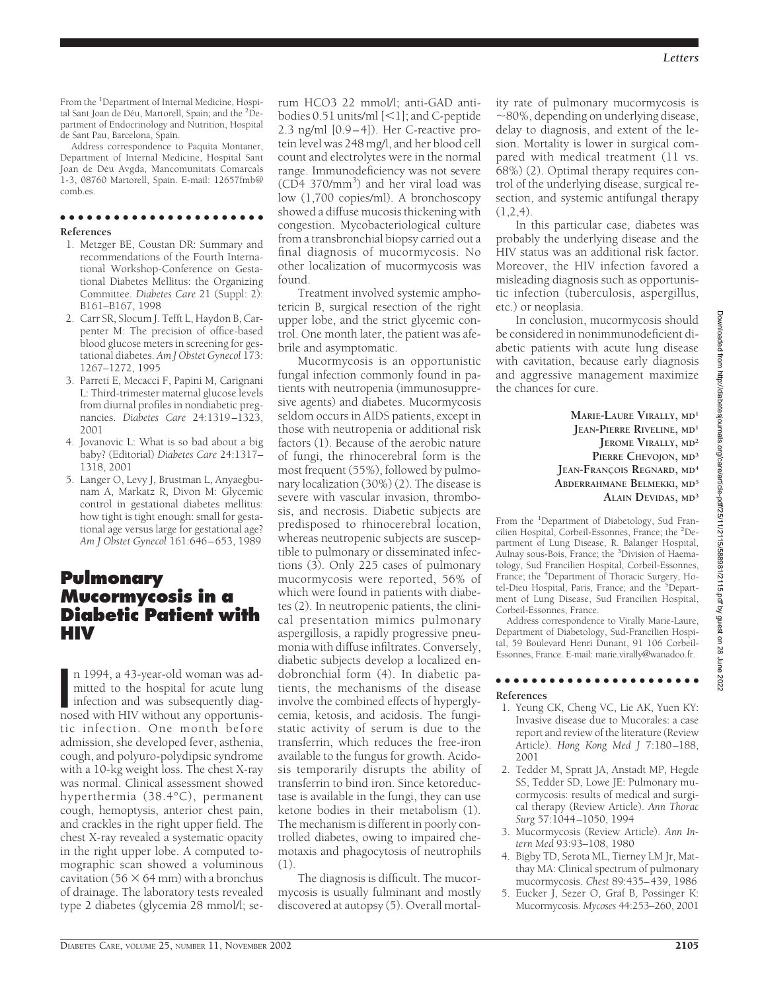From the <sup>1</sup>Department of Internal Medicine, Hospital Sant Joan de Déu, Martorell, Spain; and the <sup>2</sup>Department of Endocrinology and Nutrition, Hospital de Sant Pau, Barcelona, Spain.

Address correspondence to Paquita Montaner, Department of Internal Medicine, Hospital Sant Joan de Déu Avgda, Mancomunitats Comarcals 1-3, 08760 Martorell, Spain. E-mail: 12657fmb@ comb.es.

### ●●●●●●●●●●●●●●●●●●●●●●●

#### **References**

- 1. Metzger BE, Coustan DR: Summary and recommendations of the Fourth International Workshop-Conference on Gestational Diabetes Mellitus: the Organizing Committee. *Diabetes Care* 21 (Suppl: 2): B161–B167, 1998
- 2. Carr SR, Slocum J. Tefft L, Haydon B, Carpenter M: The precision of office-based blood glucose meters in screening for gestational diabetes. *Am J Obstet Gynecol* 173: 1267–1272, 1995
- 3. Parreti E, Mecacci F, Papini M, Carignani L: Third-trimester maternal glucose levels from diurnal profiles in nondiabetic pregnancies. *Diabetes Care* 24:1319–1323, 2001
- 4. Jovanovic L: What is so bad about a big baby? (Editorial) *Diabetes Care* 24:1317– 1318, 2001
- 5. Langer O, Levy J, Brustman L, Anyaegbunam A, Markatz R, Divon M: Glycemic control in gestational diabetes mellitus: how tight is tight enough: small for gestational age versus large for gestational age? *Am J Obstet Gynecol* 161:646–653, 1989

## **Pulmonary Mucormycosis in a Diabetic Patient with HIV**

n 1994, a 43-year-old woman was admitted to the hospital for acute lung infection and was subsequently diagnosed with HIV without any opportunisn 1994, a 43-year-old woman was admitted to the hospital for acute lung infection and was subsequently diagtic infection. One month before admission, she developed fever, asthenia, cough, and polyuro-polydipsic syndrome with a 10-kg weight loss. The chest X-ray was normal. Clinical assessment showed hyperthermia (38.4°C), permanent cough, hemoptysis, anterior chest pain, and crackles in the right upper field. The chest X-ray revealed a systematic opacity in the right upper lobe. A computed tomographic scan showed a voluminous cavitation (56  $\times$  64 mm) with a bronchus of drainage. The laboratory tests revealed type 2 diabetes (glycemia 28 mmol/l; se-

rum HCO3 22 mmol/l; anti-GAD antibodies  $0.51$  units/ml  $[<1]$ ; and C-peptide 2.3 ng/ml [0.9–4]). Her C-reactive protein level was 248 mg/l, and her blood cell count and electrolytes were in the normal range. Immunodeficiency was not severe (CD4 370/mm<sup>3</sup>) and her viral load was low (1,700 copies/ml). A bronchoscopy showed a diffuse mucosis thickening with congestion. Mycobacteriological culture from a transbronchial biopsy carried out a final diagnosis of mucormycosis. No other localization of mucormycosis was found.

Treatment involved systemic amphotericin B, surgical resection of the right upper lobe, and the strict glycemic control. One month later, the patient was afebrile and asymptomatic.

Mucormycosis is an opportunistic fungal infection commonly found in patients with neutropenia (immunosuppresive agents) and diabetes. Mucormycosis seldom occurs in AIDS patients, except in those with neutropenia or additional risk factors (1). Because of the aerobic nature of fungi, the rhinocerebral form is the most frequent (55%), followed by pulmonary localization (30%) (2). The disease is severe with vascular invasion, thrombosis, and necrosis. Diabetic subjects are predisposed to rhinocerebral location, whereas neutropenic subjects are susceptible to pulmonary or disseminated infections (3). Only 225 cases of pulmonary mucormycosis were reported, 56% of which were found in patients with diabetes (2). In neutropenic patients, the clinical presentation mimics pulmonary aspergillosis, a rapidly progressive pneumonia with diffuse infiltrates. Conversely, diabetic subjects develop a localized endobronchial form (4). In diabetic patients, the mechanisms of the disease involve the combined effects of hyperglycemia, ketosis, and acidosis. The fungistatic activity of serum is due to the transferrin, which reduces the free-iron available to the fungus for growth. Acidosis temporarily disrupts the ability of transferrin to bind iron. Since ketoreductase is available in the fungi, they can use ketone bodies in their metabolism (1). The mechanism is different in poorly controlled diabetes, owing to impaired chemotaxis and phagocytosis of neutrophils (1).

The diagnosis is difficult. The mucormycosis is usually fulminant and mostly discovered at autopsy (5). Overall mortality rate of pulmonary mucormycosis is  $\sim$ 80%, depending on underlying disease, delay to diagnosis, and extent of the lesion. Mortality is lower in surgical compared with medical treatment (11 vs. 68%) (2). Optimal therapy requires control of the underlying disease, surgical resection, and systemic antifungal therapy  $(1,2,4)$ .

In this particular case, diabetes was probably the underlying disease and the HIV status was an additional risk factor. Moreover, the HIV infection favored a misleading diagnosis such as opportunistic infection (tuberculosis, aspergillus, etc.) or neoplasia.

In conclusion, mucormycosis should be considered in nonimmunodeficient diabetic patients with acute lung disease with cavitation, because early diagnosis and aggressive management maximize the chances for cure.

> **MARIE-LAURE VIRALLY, MD<sup>1</sup> JEAN-PIERRE RIVELINE, MD<sup>1</sup> JEROME VIRALLY**, MD<sup>2</sup> **PIERRE CHEVOJON, MD<sup>3</sup> JEAN-FRANC¸ OIS REGNARD, MD<sup>4</sup> ABDERRAHMANE BELMEKKI, MD<sup>5</sup> ALAIN DEVIDAS, MD<sup>3</sup>**

From the <sup>1</sup>Department of Diabetology, Sud Francilien Hospital, Corbeil-Essonnes, France; the <sup>2</sup>Department of Lung Disease, R. Balanger Hospital, Aulnay sous-Bois, France; the <sup>3</sup>Division of Haematology, Sud Francilien Hospital, Corbeil-Essonnes, France; the <sup>4</sup>Department of Thoracic Surgery, Hotel-Dieu Hospital, Paris, France; and the <sup>5</sup>Department of Lung Disease, Sud Francilien Hospital, Corbeil-Essonnes, France.

Address correspondence to Virally Marie-Laure, Department of Diabetology, Sud-Francilien Hospital, 59 Boulevard Henri Dunant, 91 106 Corbeil-Essonnes, France. E-mail: marie.virally@wanadoo.fr.

### ●●●●●●●●●●●●●●●●●●●●●●●

#### **References**

- 1. Yeung CK, Cheng VC, Lie AK, Yuen KY: Invasive disease due to Mucorales: a case report and review of the literature (Review Article). *Hong Kong Med J* 7:180–188, 2001
- 2. Tedder M, Spratt JA, Anstadt MP, Hegde SS, Tedder SD, Lowe JE: Pulmonary mucormycosis: results of medical and surgical therapy (Review Article). *Ann Thorac Surg* 57:1044–1050, 1994
- 3. Mucormycosis (Review Article). *Ann Intern Med* 93:93–108, 1980
- 4. Bigby TD, Serota ML, Tierney LM Jr, Matthay MA: Clinical spectrum of pulmonary mucormycosis. *Chest* 89:435–439, 1986
- 5. Eucker J, Sezer O, Graf B, Possinger K: Mucormycosis. *Mycoses* 44:253–260, 2001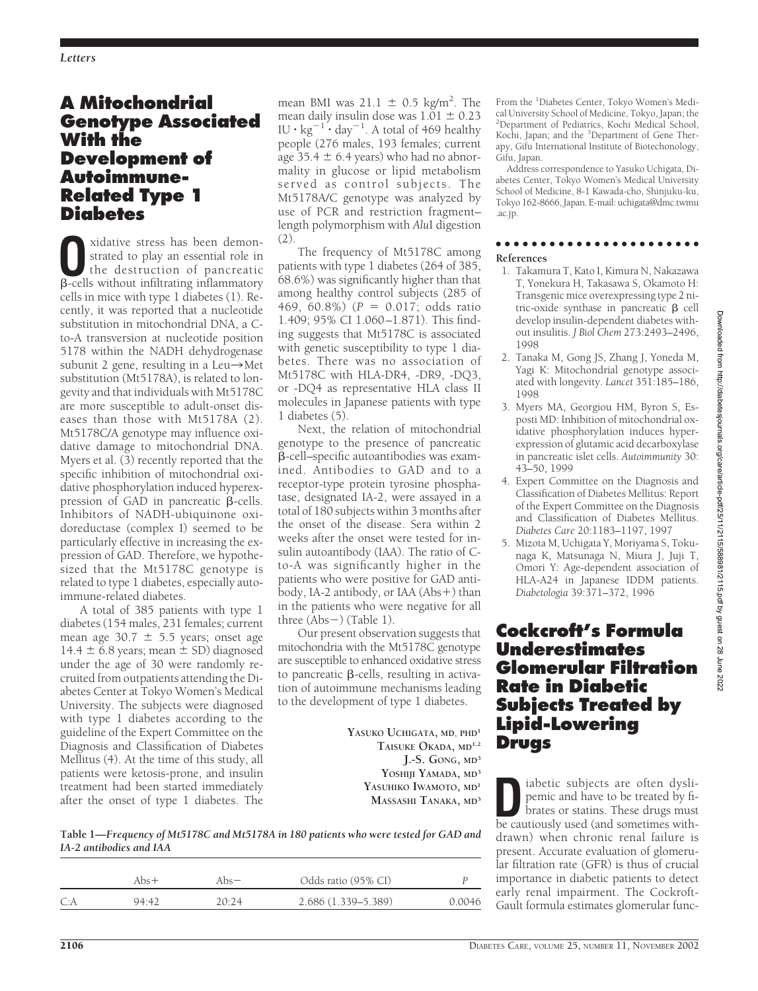# **A Mitochondrial Genotype Associated With the Development of Autoimmune-Related Type 1 Diabetes**

Strated to play an essential role in<br>the destruction of pancreatic<br>B-cells without infiltrating inflammatory strated to play an essential role in  $\beta$ -cells without infiltrating inflammatory cells in mice with type 1 diabetes (1). Recently, it was reported that a nucleotide substitution in mitochondrial DNA, a Cto-A transversion at nucleotide position 5178 within the NADH dehydrogenase subunit 2 gene, resulting in a Leu $\rightarrow$ Met substitution (Mt5178A), is related to longevity and that individuals with Mt5178C are more susceptible to adult-onset diseases than those with Mt5178A (2). Mt5178C/A genotype may influence oxidative damage to mitochondrial DNA. Myers et al. (3) recently reported that the specific inhibition of mitochondrial oxidative phosphorylation induced hyperexpression of GAD in pancreatic  $\beta$ -cells. Inhibitors of NADH-ubiquinone oxidoreductase (complex I) seemed to be particularly effective in increasing the expression of GAD. Therefore, we hypothesized that the Mt5178C genotype is related to type 1 diabetes, especially autoimmune-related diabetes.

A total of 385 patients with type 1 diabetes (154 males, 231 females; current mean age 30.7  $\pm$  5.5 years; onset age 14.4  $\pm$  6.8 years; mean  $\pm$  SD) diagnosed under the age of 30 were randomly recruited from outpatients attending the Diabetes Center at Tokyo Women's Medical University. The subjects were diagnosed with type 1 diabetes according to the guideline of the Expert Committee on the Diagnosis and Classification of Diabetes Mellitus (4). At the time of this study, all patients were ketosis-prone, and insulin treatment had been started immediately after the onset of type 1 diabetes. The

mean BMI was  $21.1 \pm 0.5$  kg/m<sup>2</sup>. The mean daily insulin dose was  $1.\overline{0}1 \pm 0.23$ IU  $\cdot$  kg<sup>-1</sup>  $\cdot$  day<sup>-1</sup>. A total of 469 healthy people (276 males, 193 females; current age  $35.4 \pm 6.4$  years) who had no abnormality in glucose or lipid metabolism served as control subjects. The Mt5178A/C genotype was analyzed by use of PCR and restriction fragment– length polymorphism with *Alu*I digestion (2).

The frequency of Mt5178C among patients with type 1 diabetes (264 of 385, 68.6%) was significantly higher than that among healthy control subjects (285 of 469, 60.8%) ( $P = 0.017$ ; odds ratio 1.409; 95% CI 1.060–1.871). This finding suggests that Mt5178C is associated with genetic susceptibility to type 1 diabetes. There was no association of Mt5178C with HLA-DR4, -DR9, -DQ3, or -DQ4 as representative HLA class II molecules in Japanese patients with type 1 diabetes (5).

Next, the relation of mitochondrial genotype to the presence of pancreatic -cell–specific autoantibodies was examined. Antibodies to GAD and to a receptor-type protein tyrosine phosphatase, designated IA-2, were assayed in a total of 180 subjects within 3 months after the onset of the disease. Sera within 2 weeks after the onset were tested for insulin autoantibody (IAA). The ratio of Cto-A was significantly higher in the patients who were positive for GAD antibody, IA-2 antibody, or IAA (Abs+) than in the patients who were negative for all three (Abs ) (Table 1).

Our present observation suggests that mitochondria with the Mt5178C genotype are susceptible to enhanced oxidative stress to pancreatic  $\beta$ -cells, resulting in activation of autoimmune mechanisms leading to the development of type 1 diabetes.

> **YASUKO UCHIGATA, MD, PHD<sup>1</sup> TAISUKE OKADA, MD1,2 J.-S. GONG, MD<sup>3</sup> YOSHIJI YAMADA, MD<sup>3</sup> YASUHIKO IWAMOTO, MD<sup>1</sup> MASSASHI TANAKA, MD<sup>3</sup>**

From the <sup>1</sup>Diabetes Center, Tokyo Women's Medical University School of Medicine, Tokyo, Japan; the 2 Department of Pediatrics, Kochi Medical School, Kochi, Japan; and the <sup>3</sup>Department of Gene Therapy, Gifu International Institute of Biotechonology, Gifu, Japan.

Address correspondence to Yasuko Uchigata, Diabetes Center, Tokyo Women's Medical University School of Medicine, 8-1 Kawada-cho, Shinjuku-ku, Tokyo 162-8666, Japan. E-mail: uchigata@dmc.twmu .ac.jp.

#### ●●●●●●●●●●●●●●●●●●●●●●●

### **References**

- 1. Takamura T, Kato I, Kimura N, Nakazawa T, Yonekura H, Takasawa S, Okamoto H: Transgenic mice overexpressing type 2 nitric-oxide synthase in pancreatic  $\beta$  cell develop insulin-dependent diabetes without insulitis. *J Biol Chem* 273:2493–2496, 1998
- 2. Tanaka M, Gong JS, Zhang J, Yoneda M, Yagi K: Mitochondrial genotype associated with longevity. *Lancet* 351:185–186, 1998
- 3. Myers MA, Georgiou HM, Byron S, Esposti MD: Inhibition of mitochondrial oxidative phosphorylation induces hyperexpression of glutamic acid decarboxylase in pancreatic islet cells. *Autoimmunity* 30: 43–50, 1999
- 4. Expert Committee on the Diagnosis and Classification of Diabetes Mellitus: Report of the Expert Committee on the Diagnosis and Classification of Diabetes Mellitus. *Diabetes Care* 20:1183–1197, 1997
- 5. Mizota M, Uchigata Y, Moriyama S, Tokunaga K, Matsunaga N, Miura J, Juji T, Omori Y: Age-dependent association of HLA-A24 in Japanese IDDM patients. *Diabetologia* 39:371–372, 1996

# **Cockcroft's Formula Underestimates Glomerular Filtration Rate in Diabetic Subjects Treated by Lipid-Lowering Drugs**

**D**iabetic subjects are often dyslipemic and have to be treated by fibrates or statins. These drugs must<br>be cautiously used (and sometimes withpemic and have to be treated by fibe cautiously used (and sometimes withdrawn) when chronic renal failure is present. Accurate evaluation of glomerular filtration rate (GFR) is thus of crucial importance in diabetic patients to detect early renal impairment. The Cockroft-Gault formula estimates glomerular func-

**Table 1—***Frequency of Mt5178C and Mt5178A in 180 patients who were tested for GAD and IA-2 antibodies and IAA*

|     | Abs $+$ | Abs $-$ | Odds ratio (95% CI) |        |
|-----|---------|---------|---------------------|--------|
| C:A | 94:42   | 20:24   | 2.686 (1.339–5.389) | 0.0046 |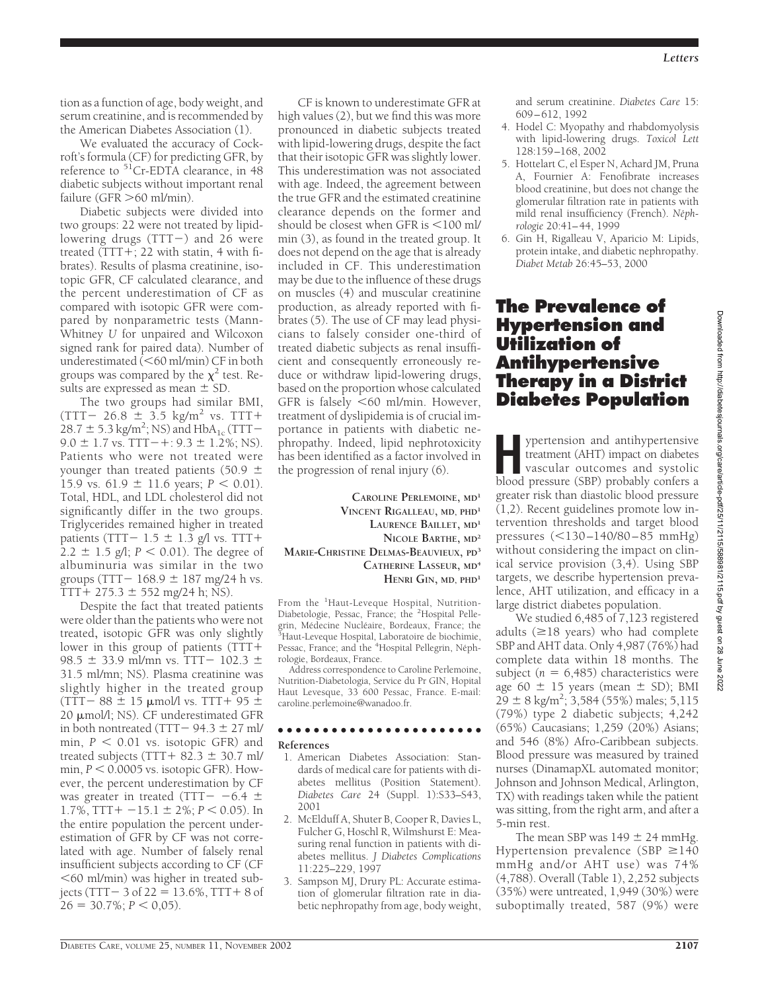tion as a function of age, body weight, and serum creatinine, and is recommended by the American Diabetes Association (1).

We evaluated the accuracy of Cockroft's formula (CF) for predicting GFR, by reference to  $51$ Cr-EDTA clearance, in 48 diabetic subjects without important renal failure (GFR  $>$  60 ml/min).

Diabetic subjects were divided into two groups: 22 were not treated by lipidlowering drugs (TTT ) and 26 were treated  $(TTT+; 22$  with statin, 4 with fibrates). Results of plasma creatinine, isotopic GFR, CF calculated clearance, and the percent underestimation of CF as compared with isotopic GFR were compared by nonparametric tests (Mann-Whitney *U* for unpaired and Wilcoxon signed rank for paired data). Number of underestimated  $\overline{(<}60$  ml/min) CF in both groups was compared by the  $\chi^2$  test. Results are expressed as mean  $\pm$  SD.

The two groups had similar BMI,  $(TTT - 26.8 \pm 3.5 \text{ kg/m}^2 \text{ vs.} TT +$ 28.7  $\pm$  5.3 kg/m<sup>2</sup>; NS) and HbA<sub>1c</sub> (TTT- $9.0 \pm 1.7$  vs. TTT $-+$ :  $9.3 \pm 1.2\%$ ; NS). Patients who were not treated were younger than treated patients (50.9  $\pm$ 15.9 vs.  $61.9 \pm 11.6$  years;  $P < 0.01$ ). Total, HDL, and LDL cholesterol did not significantly differ in the two groups. Triglycerides remained higher in treated patients (TTT –  $1.5 \pm 1.3$  g/l vs. TTT +  $2.2 \pm 1.5$  g/l;  $P < 0.01$ ). The degree of albuminuria was similar in the two groups (TTT  $- 168.9 \pm 187$  mg/24 h vs.  $TTT + 275.3 \pm 552$  mg/24 h; NS).

Despite the fact that treated patients were older than the patients who were not treated**,** isotopic GFR was only slightly lower in this group of patients (TTT 98.5  $\pm$  33.9 ml/mn vs. TTT- 102.3  $\pm$ 31.5 ml/mn; NS). Plasma creatinine was slightly higher in the treated group  $(TTT - 88 \pm 15 \mu$ mol/l vs. TTT + 95  $\pm$ 20  $\mu$ mol/l; NS). CF underestimated GFR in both nontreated (TTT  $-$  94.3  $\pm$  27 ml/ min,  $P < 0.01$  vs. isotopic GFR) and treated subjects (TTT +  $82.3 \pm 30.7$  ml/ min,  $P < 0.0005$  vs. isotopic GFR). However, the percent underestimation by CF was greater in treated (TTT $-$  -6.4  $\pm$  $1.7\%$ , TTT + -15.1  $\pm$  2%; *P* < 0.05). In the entire population the percent underestimation of GFR by CF was not correlated with age. Number of falsely renal insufficient subjects according to CF (CF  $<$  60 ml/min) was higher in treated subjects (TTT  $-3$  of 22  $= 13.6\%$ , TTT  $+8$  of  $26 = 30.7\%$ ;  $P < 0.05$ ).

CF is known to underestimate GFR at high values (2), but we find this was more pronounced in diabetic subjects treated with lipid-lowering drugs, despite the fact that their isotopic GFR was slightly lower. This underestimation was not associated with age. Indeed, the agreement between the true GFR and the estimated creatinine clearance depends on the former and should be closest when GFR is  $<$ 100 ml/ min (3), as found in the treated group. It does not depend on the age that is already included in CF. This underestimation may be due to the influence of these drugs on muscles (4) and muscular creatinine production, as already reported with fibrates (5). The use of CF may lead physicians to falsely consider one-third of treated diabetic subjects as renal insufficient and consequently erroneously reduce or withdraw lipid-lowering drugs, based on the proportion whose calculated GFR is falsely  $\leq 60$  ml/min. However, treatment of dyslipidemia is of crucial importance in patients with diabetic nephropathy. Indeed, lipid nephrotoxicity has been identified as a factor involved in the progression of renal injury (6).

**CAROLINE PERLEMOINE, MD<sup>1</sup> VINCENT RIGALLEAU, MD, PHD<sup>1</sup> LAURENCE BAILLET, MD<sup>1</sup> NICOLE BARTHE, MD<sup>2</sup> MARIE-CHRISTINE DELMAS-BEAUVIEUX, PD<sup>3</sup> CATHERINE LASSEUR, MD<sup>4</sup> HENRI GIN, MD, PHD<sup>1</sup>**

From the <sup>1</sup>Haut-Leveque Hospital, Nutrition-Diabetologie, Pessac, France; the <sup>2</sup>Hospital Pellegrin, Médecine Nucléaire, Bordeaux, France; the<br><sup>3</sup>Haut-Leveque Hospital, Laboratoire de biochimie, Pessac, France; and the <sup>4</sup>Hospital Pellegrin, Néphrologie, Bordeaux, France.

Address correspondence to Caroline Perlemoine, Nutrition-Diabetologia, Service du Pr GIN, Hopital Haut Levesque, 33 600 Pessac, France. E-mail: caroline.perlemoine@wanadoo.fr.

#### ●●●●●●●●●●●●●●●●●●●●●●●

#### **References**

- 1. American Diabetes Association: Standards of medical care for patients with diabetes mellitus (Position Statement). *Diabetes Care* 24 (Suppl. 1):S33–S43, 2001
- 2. McElduff A, Shuter B, Cooper R, Davies L, Fulcher G, Hoschl R, Wilmshurst E: Measuring renal function in patients with diabetes mellitus. *J Diabetes Complications* 11:225–229, 1997
- 3. Sampson MJ, Drury PL: Accurate estimation of glomerular filtration rate in diabetic nephropathy from age, body weight,

and serum creatinine. *Diabetes Care* 15: 609–612, 1992

- 4. Hodel C: Myopathy and rhabdomyolysis with lipid-lowering drugs. *Toxicol Lett* 128:159–168, 2002
- 5. Hottelart C, el Esper N, Achard JM, Pruna A, Fournier A: Fenofibrate increases blood creatinine, but does not change the glomerular filtration rate in patients with mild renal insufficiency (French). Néph*rologie* 20:41–44, 1999
- 6. Gin H, Rigalleau V, Aparicio M: Lipids, protein intake, and diabetic nephropathy. *Diabet Metab* 26:45–53, 2000

# **The Prevalence of Hypertension and Utilization of Antihypertensive Therapy in a District Diabetes Population**

**H** ypertension and antihypertensive treatment (AHT) impact on diabetes vascular outcomes and systolic blood pressure (SBP) probably confers a greater risk than diastolic blood pressure (1,2). Recent guidelines promote low intervention thresholds and target blood pressures  $(<130 - 140/80 - 85$  mmHg) without considering the impact on clinical service provision (3,4). Using SBP targets, we describe hypertension prevalence, AHT utilization, and efficacy in a large district diabetes population.

We studied 6,485 of 7,123 registered adults  $(\geq 18$  years) who had complete SBP and AHT data. Only 4,987 (76%) had complete data within 18 months. The subject ( $n = 6,485$ ) characteristics were age 60  $\pm$  15 years (mean  $\pm$  SD); BMI  $29 \pm 8$  kg/m<sup>2</sup>; 3,584 (55%) males; 5,115 (79%) type 2 diabetic subjects; 4,242 (65%) Caucasians; 1,259 (20%) Asians; and 546 (8%) Afro-Caribbean subjects. Blood pressure was measured by trained nurses (DinamapXL automated monitor; Johnson and Johnson Medical, Arlington, TX) with readings taken while the patient was sitting, from the right arm, and after a 5-min rest.

The mean SBP was  $149 \pm 24$  mmHg. Hypertension prevalence (SBP  $\geq$ 140 mmHg and/or AHT use) was 74% (4,788). Overall (Table 1), 2,252 subjects (35%) were untreated, 1,949 (30%) were suboptimally treated, 587 (9%) were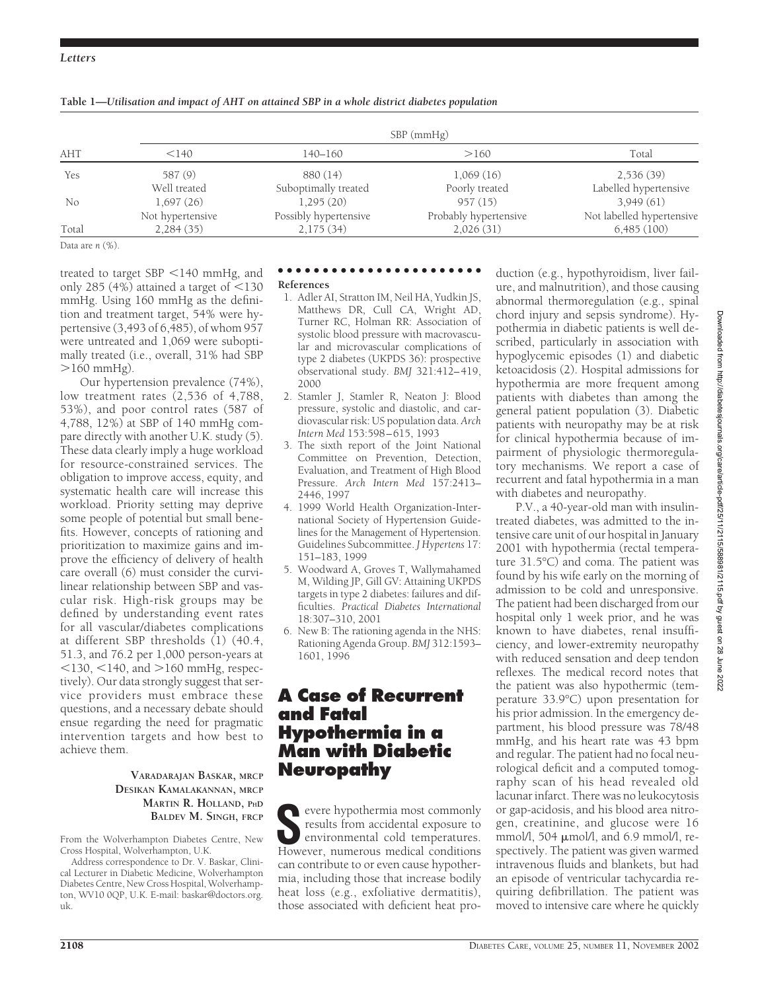### *Letters*

| AHT   | $SBP$ (mmHg)     |                       |                       |                           |  |  |
|-------|------------------|-----------------------|-----------------------|---------------------------|--|--|
|       | < 140            | 140–160               | >160                  | Total                     |  |  |
| Yes   | 587 (9)          | 880 (14)              | 1,069(16)             | 2,536(39)                 |  |  |
|       | Well treated     | Suboptimally treated  | Poorly treated        | Labelled hypertensive     |  |  |
| No    | 1,697(26)        | 1,295(20)             | 957(15)               | 3,949(61)                 |  |  |
|       | Not hypertensive | Possibly hypertensive | Probably hypertensive | Not labelled hypertensive |  |  |
| Total | 2,284(35)        | 2,175(34)             | 2,026(31)             | 6,485(100)                |  |  |

**Table 1—***Utilisation and impact of AHT on attained SBP in a whole district diabetes population*

Data are *n* (%).

treated to target  $SBP < 140$  mmHg, and only 285 (4%) attained a target of  $\leq$ 130 mmHg. Using 160 mmHg as the definition and treatment target, 54% were hypertensive (3,493 of 6,485), of whom 957 were untreated and 1,069 were suboptimally treated (i.e., overall, 31% had SBP  $>160$  mmHg).

Our hypertension prevalence (74%), low treatment rates (2,536 of 4,788, 53%), and poor control rates (587 of 4,788, 12%) at SBP of 140 mmHg compare directly with another U.K. study (5). These data clearly imply a huge workload for resource-constrained services. The obligation to improve access, equity, and systematic health care will increase this workload. Priority setting may deprive some people of potential but small benefits. However, concepts of rationing and prioritization to maximize gains and improve the efficiency of delivery of health care overall (6) must consider the curvilinear relationship between SBP and vascular risk. High-risk groups may be defined by understanding event rates for all vascular/diabetes complications at different SBP thresholds (1) (40.4, 51.3, and 76.2 per 1,000 person-years at  $130, 140,$  and  $>160$  mmHg, respectively). Our data strongly suggest that service providers must embrace these questions, and a necessary debate should ensue regarding the need for pragmatic intervention targets and how best to achieve them.

### **VARADARAJAN BASKAR, MRCP DESIKAN KAMALAKANNAN, MRCP MARTIN R. HOLLAND, PHD BALDEV M. SINGH, FRCP**

From the Wolverhampton Diabetes Centre, New Cross Hospital, Wolverhampton, U.K.

Address correspondence to Dr. V. Baskar, Clinical Lecturer in Diabetic Medicine, Wolverhampton Diabetes Centre, New Cross Hospital, Wolverhampton, WV10 0QP, U.K. E-mail: baskar@doctors.org. uk.

### ●●●●●●●●●●●●●●●●●●●●●●●

#### **References**

- 1. Adler AI, Stratton IM, Neil HA, Yudkin JS, Matthews DR, Cull CA, Wright AD, Turner RC, Holman RR: Association of systolic blood pressure with macrovascular and microvascular complications of type 2 diabetes (UKPDS 36): prospective observational study. *BMJ* 321:412–419, 2000
- 2. Stamler J, Stamler R, Neaton J: Blood pressure, systolic and diastolic, and cardiovascular risk: US population data. *Arch Intern Med* 153:598–615, 1993
- 3. The sixth report of the Joint National Committee on Prevention, Detection, Evaluation, and Treatment of High Blood Pressure. *Arch Intern Med* 157:2413– 2446, 1997
- 4. 1999 World Health Organization-International Society of Hypertension Guidelines for the Management of Hypertension. Guidelines Subcommittee. *J Hypertens* 17: 151–183, 1999
- 5. Woodward A, Groves T, Wallymahamed M, Wilding JP, Gill GV: Attaining UKPDS targets in type 2 diabetes: failures and difficulties. *Practical Diabetes International* 18:307–310, 2001
- 6. New B: The rationing agenda in the NHS: Rationing Agenda Group. *BMJ* 312:1593– 1601, 1996

# **A Case of Recurrent and Fatal Hypothermia in a Man with Diabetic Neuropathy**

**S**evere hypothermia most commonly results from accidental exposure to environmental cold temperatures. However, numerous medical conditions can contribute to or even cause hypothermia, including those that increase bodily heat loss (e.g., exfoliative dermatitis), those associated with deficient heat pro-

duction (e.g., hypothyroidism, liver failure, and malnutrition), and those causing abnormal thermoregulation (e.g., spinal chord injury and sepsis syndrome). Hypothermia in diabetic patients is well described, particularly in association with hypoglycemic episodes (1) and diabetic ketoacidosis (2). Hospital admissions for hypothermia are more frequent among patients with diabetes than among the general patient population (3). Diabetic patients with neuropathy may be at risk for clinical hypothermia because of impairment of physiologic thermoregulatory mechanisms. We report a case of recurrent and fatal hypothermia in a man with diabetes and neuropathy.

P.V., a 40-year-old man with insulintreated diabetes, was admitted to the intensive care unit of our hospital in January 2001 with hypothermia (rectal temperature 31.5°C) and coma. The patient was found by his wife early on the morning of admission to be cold and unresponsive. The patient had been discharged from our hospital only 1 week prior, and he was known to have diabetes, renal insufficiency, and lower-extremity neuropathy with reduced sensation and deep tendon reflexes*.* The medical record notes that the patient was also hypothermic (temperature 33.9°C) upon presentation for his prior admission. In the emergency department, his blood pressure was 78/48 mmHg, and his heart rate was 43 bpm and regular. The patient had no focal neurological deficit and a computed tomography scan of his head revealed old lacunar infarct. There was no leukocytosis or gap-acidosis, and his blood area nitrogen, creatinine, and glucose were 16 mmol/l, 504  $\mu$ mol/l, and 6.9 mmol/l, respectively. The patient was given warmed intravenous fluids and blankets, but had an episode of ventricular tachycardia requiring defibrillation. The patient was moved to intensive care where he quickly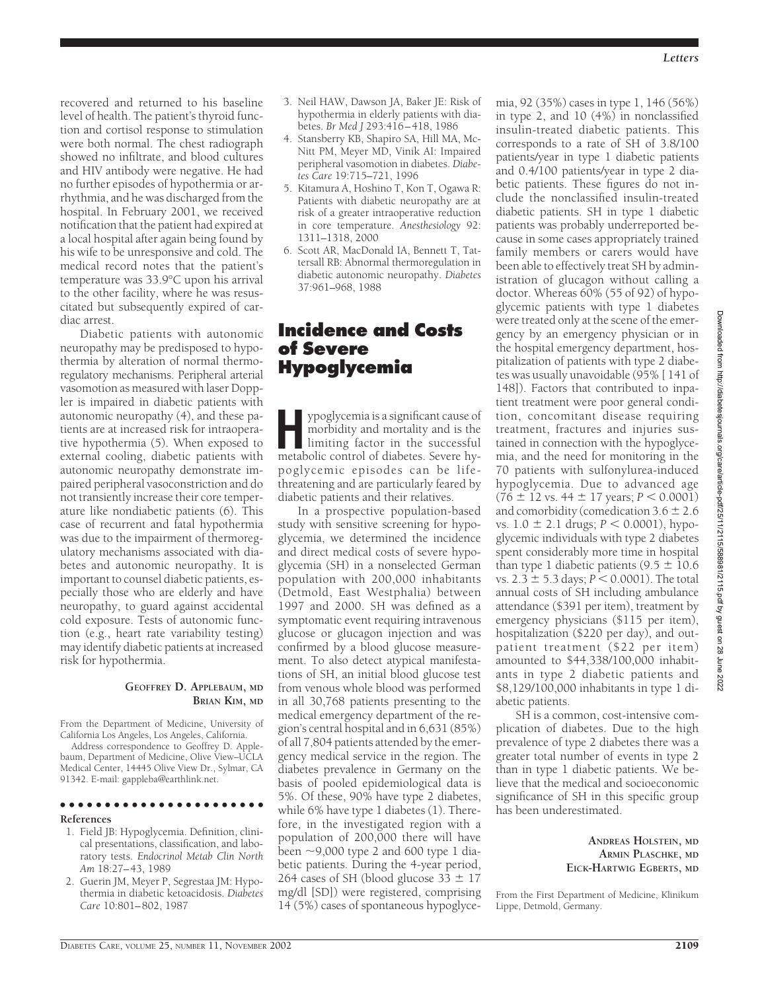recovered and returned to his baseline level of health. The patient's thyroid function and cortisol response to stimulation were both normal. The chest radiograph showed no infiltrate, and blood cultures and HIV antibody were negative. He had no further episodes of hypothermia or arrhythmia, and he was discharged from the hospital. In February 2001, we received notification that the patient had expired at a local hospital after again being found by his wife to be unresponsive and cold. The medical record notes that the patient's temperature was 33.9°C upon his arrival to the other facility, where he was resuscitated but subsequently expired of cardiac arrest.

Diabetic patients with autonomic neuropathy may be predisposed to hypothermia by alteration of normal thermoregulatory mechanisms. Peripheral arterial vasomotion as measured with laser Doppler is impaired in diabetic patients with autonomic neuropathy (4), and these patients are at increased risk for intraoperative hypothermia (5). When exposed to external cooling, diabetic patients with autonomic neuropathy demonstrate impaired peripheral vasoconstriction and do not transiently increase their core temperature like nondiabetic patients (6). This case of recurrent and fatal hypothermia was due to the impairment of thermoregulatory mechanisms associated with diabetes and autonomic neuropathy. It is important to counsel diabetic patients, especially those who are elderly and have neuropathy, to guard against accidental cold exposure. Tests of autonomic function (e.g., heart rate variability testing) may identify diabetic patients at increased risk for hypothermia.

#### **GEOFFREY D. APPLEBAUM, MD BRIAN KIM, MD**

From the Department of Medicine, University of California Los Angeles, Los Angeles, California.

Address correspondence to Geoffrey D. Applebaum, Department of Medicine, Olive View–UCLA Medical Center, 14445 Olive View Dr., Sylmar, CA 91342. E-mail: gappleba@earthlink.net.

### ●●●●●●●●●●●●●●●●●●●●●●●

#### **References**

- 1. Field JB: Hypoglycemia. Definition, clinical presentations, classification, and laboratory tests. *Endocrinol Metab Clin North Am* 18:27–43, 1989
- 2. Guerin JM, Meyer P, Segrestaa JM: Hypothermia in diabetic ketoacidosis. *Diabetes Care* 10:801–802, 1987
- 3. Neil HAW, Dawson JA, Baker JE: Risk of hypothermia in elderly patients with diabetes. *Br Med J* 293:416–418, 1986
- 4. Stansberry KB, Shapiro SA, Hill MA, Mc-Nitt PM, Meyer MD, Vinik AI: Impaired peripheral vasomotion in diabetes. *Diabetes Care* 19:715–721, 1996
- 5. Kitamura A, Hoshino T, Kon T, Ogawa R: Patients with diabetic neuropathy are at risk of a greater intraoperative reduction in core temperature. *Anesthesiology* 92: 1311–1318, 2000
- 6. Scott AR, MacDonald IA, Bennett T, Tattersall RB: Abnormal thermoregulation in diabetic autonomic neuropathy. *Diabetes* 37:961–968, 1988

## **Incidence and Costs of Severe Hypoglycemia**

ypoglycemia is a significant cause of<br>morbidity and mortality and is the<br>limiting factor in the successful<br>metabolic control of diabetes Severe hymorbidity and mortality and is the limiting factor in the successful metabolic control of diabetes. Severe hypoglycemic episodes can be lifethreatening and are particularly feared by diabetic patients and their relatives.

In a prospective population-based study with sensitive screening for hypoglycemia, we determined the incidence and direct medical costs of severe hypoglycemia (SH) in a nonselected German population with 200,000 inhabitants (Detmold, East Westphalia) between 1997 and 2000. SH was defined as a symptomatic event requiring intravenous glucose or glucagon injection and was confirmed by a blood glucose measurement. To also detect atypical manifestations of SH, an initial blood glucose test from venous whole blood was performed in all 30,768 patients presenting to the medical emergency department of the region's central hospital and in 6,631 (85%) of all 7,804 patients attended by the emergency medical service in the region. The diabetes prevalence in Germany on the basis of pooled epidemiological data is 5%. Of these, 90% have type 2 diabetes, while 6% have type 1 diabetes (1). Therefore, in the investigated region with a population of 200,000 there will have been  $\sim$ 9,000 type 2 and 600 type 1 diabetic patients. During the 4-year period, 264 cases of SH (blood glucose 33  $\pm$  17 mg/dl [SD]) were registered, comprising 14 (5%) cases of spontaneous hypoglycemia, 92 (35%) cases in type 1, 146 (56%) in type 2, and 10 (4%) in nonclassified insulin-treated diabetic patients. This corresponds to a rate of SH of 3.8/100 patients/year in type 1 diabetic patients and 0.4/100 patients/year in type 2 diabetic patients. These figures do not include the nonclassified insulin-treated diabetic patients. SH in type 1 diabetic patients was probably underreported because in some cases appropriately trained family members or carers would have been able to effectively treat SH by administration of glucagon without calling a doctor. Whereas 60% (55 of 92) of hypoglycemic patients with type 1 diabetes were treated only at the scene of the emergency by an emergency physician or in the hospital emergency department, hospitalization of patients with type 2 diabetes was usually unavoidable (95% [ 141 of 148]). Factors that contributed to inpatient treatment were poor general condition, concomitant disease requiring treatment, fractures and injuries sustained in connection with the hypoglycemia, and the need for monitoring in the 70 patients with sulfonylurea-induced hypoglycemia. Due to advanced age  $(76 \pm 12 \text{ vs. } 44 \pm 17 \text{ years}; P < 0.0001)$ and comorbidity (comedication  $3.6 \pm 2.6$ vs.  $1.0 \pm 2.1$  drugs;  $P < 0.0001$ ), hypoglycemic individuals with type 2 diabetes spent considerably more time in hospital than type 1 diabetic patients  $(9.5 \pm 10.6)$ vs.  $2.3 \pm 5.3$  days;  $P < 0.0001$ ). The total annual costs of SH including ambulance attendance (\$391 per item), treatment by emergency physicians (\$115 per item), hospitalization (\$220 per day), and outpatient treatment (\$22 per item) amounted to \$44,338/100,000 inhabitants in type 2 diabetic patients and \$8,129/100,000 inhabitants in type 1 diabetic patients.

SH is a common, cost-intensive complication of diabetes. Due to the high prevalence of type 2 diabetes there was a greater total number of events in type 2 than in type 1 diabetic patients. We believe that the medical and socioeconomic significance of SH in this specific group has been underestimated.

#### **ANDREAS HOLSTEIN, MD ARMIN PLASCHKE, MD EICK-HARTWIG EGBERTS, MD**

From the First Department of Medicine, Klinikum Lippe, Detmold, Germany.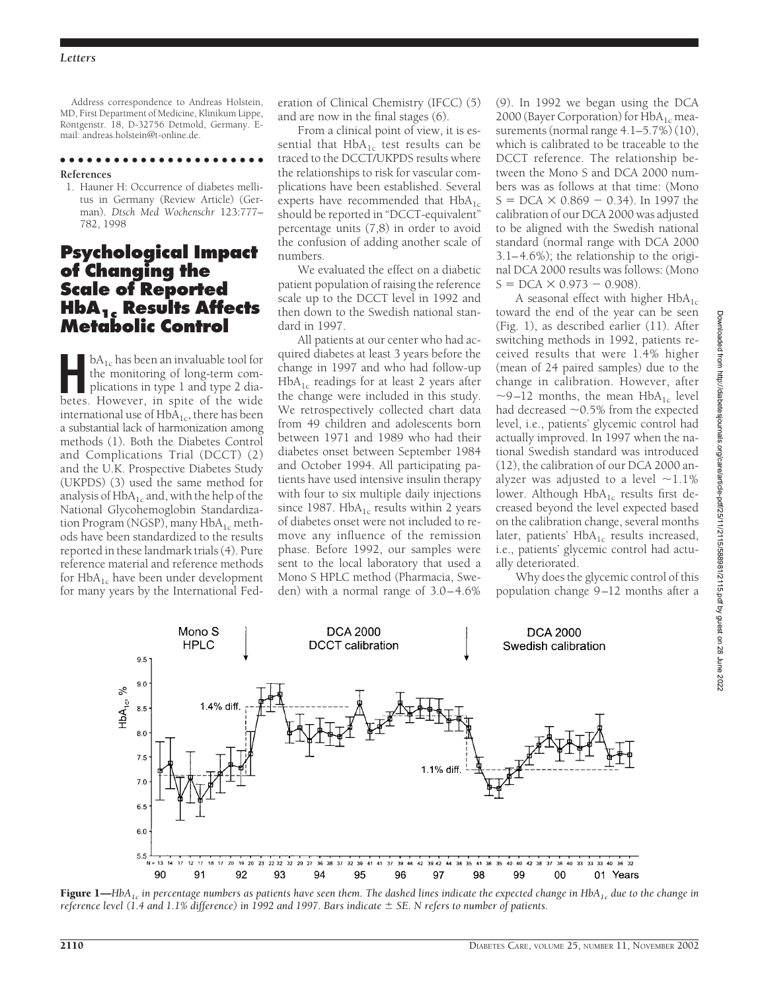Address correspondence to Andreas Holstein, MD, First Department of Medicine, Klinikum Lippe, Röntgenstr. 18, D-32756 Detmold, Germany. Email: andreas.holstein@t-online.de.

●●●●●●●●●●●●●●●●●●●●●●● **References**

1. Hauner H: Occurrence of diabetes mellitus in Germany (Review Article) (German). *Dtsch Med Wochenschr* 123:777– 782, 1998

## **Psychological Impact of Changing the Scale of Reported HbA1c Results Affects Metabolic Control**

**Here** is the monitoring of long-term complications in type 1 and type 2 dia-<br>betes. However, in spite of the wide the monitoring of long-term combetes. However, in spite of the wide international use of  $HbA_{1c}$ , there has been a substantial lack of harmonization among methods (1). Both the Diabetes Control and Complications Trial (DCCT) (2) and the U.K. Prospective Diabetes Study (UKPDS) (3) used the same method for analysis of  $HbA_{1c}$  and, with the help of the National Glycohemoglobin Standardization Program (NGSP), many  $HbA_{1c}$  methods have been standardized to the results reported in these landmark trials (4). Pure reference material and reference methods for  $HbA_{1c}$  have been under development for many years by the International Fed-

eration of Clinical Chemistry (IFCC) (5) and are now in the final stages (6).

From a clinical point of view, it is essential that  $HbA_{1c}$  test results can be traced to the DCCT/UKPDS results where the relationships to risk for vascular complications have been established. Several experts have recommended that  $HbA_{1c}$ should be reported in "DCCT-equivalent" percentage units (7,8) in order to avoid the confusion of adding another scale of numbers.

We evaluated the effect on a diabetic patient population of raising the reference scale up to the DCCT level in 1992 and then down to the Swedish national standard in 1997.

All patients at our center who had acquired diabetes at least 3 years before the change in 1997 and who had follow-up  $HbA_{1c}$  readings for at least 2 years after the change were included in this study. We retrospectively collected chart data from 49 children and adolescents born between 1971 and 1989 who had their diabetes onset between September 1984 and October 1994. All participating patients have used intensive insulin therapy with four to six multiple daily injections since 1987.  $HbA_{1c}$  results within 2 years of diabetes onset were not included to remove any influence of the remission phase. Before 1992, our samples were sent to the local laboratory that used a Mono S HPLC method (Pharmacia, Sweden) with a normal range of 3.0–4.6%

(9). In 1992 we began using the DCA 2000 (Bayer Corporation) for  $HbA_{1c}$  measurements (normal range 4.1–5.7%) (10), which is calibrated to be traceable to the DCCT reference. The relationship between the Mono S and DCA 2000 numbers was as follows at that time: (Mono  $S = DCA \times 0.869 - 0.34$ ). In 1997 the calibration of our DCA 2000 was adjusted to be aligned with the Swedish national standard (normal range with DCA 2000 3.1–4.6%); the relationship to the original DCA 2000 results was follows: (Mono  $S = DCA \times 0.973 - 0.908$ .

A seasonal effect with higher  $HbA_{1c}$ toward the end of the year can be seen (Fig. 1), as described earlier (11). After switching methods in 1992, patients received results that were 1.4% higher (mean of 24 paired samples) due to the change in calibration. However, after  $\sim$ 9–12 months, the mean HbA<sub>1c</sub> level had decreased  $\sim$  0.5% from the expected level, i.e., patients' glycemic control had actually improved. In 1997 when the national Swedish standard was introduced (12), the calibration of our DCA 2000 analyzer was adjusted to a level  $\sim$ 1.1% lower. Although  $HbA_{1c}$  results first decreased beyond the level expected based on the calibration change, several months later, patients'  $HbA_{1c}$  results increased, i.e., patients' glycemic control had actually deteriorated.

Why does the glycemic control of this population change 9–12 months after a



Figure 1—*HbA1c in percentage numbers as patients have seen them. The dashed lines indicate the expected change in HbA1c due to the change in reference level (1.4 and 1.1% difference) in 1992 and 1997. Bars indicate SE. N refers to number of patients.*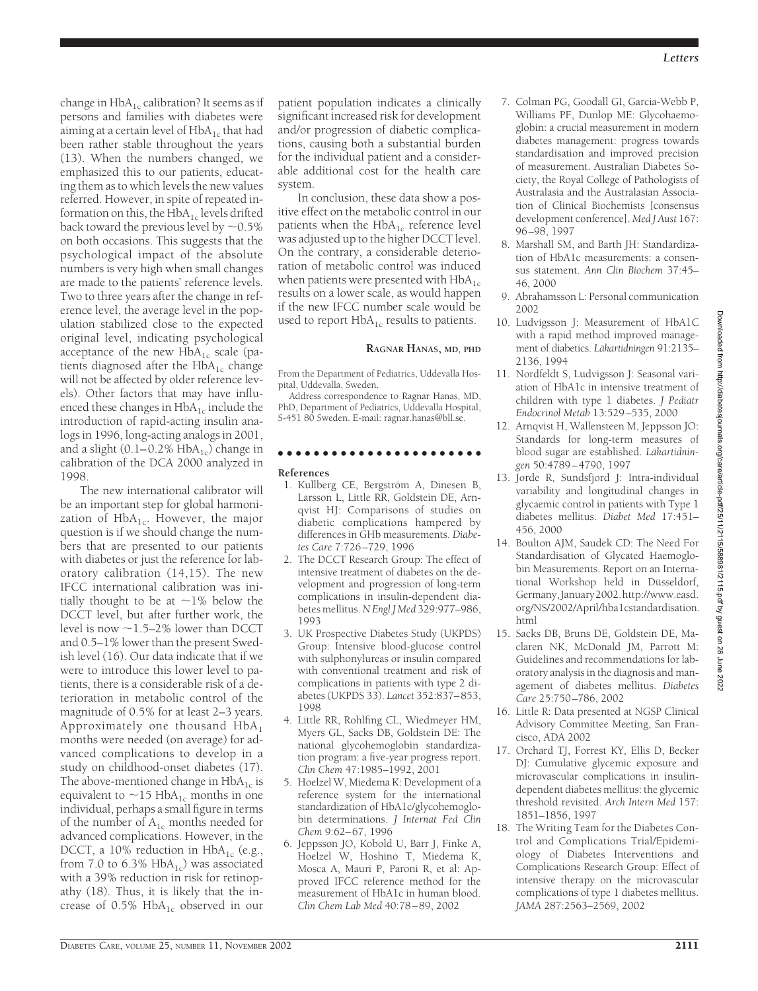change in  $HbA_{1c}$  calibration? It seems as if persons and families with diabetes were aiming at a certain level of  $HbA_{1c}$  that had been rather stable throughout the years (13). When the numbers changed, we emphasized this to our patients, educating them as to which levels the new values referred. However, in spite of repeated information on this, the  $HbA_{1c}$  levels drifted back toward the previous level by  $\sim$  0.5% on both occasions. This suggests that the psychological impact of the absolute numbers is very high when small changes are made to the patients' reference levels. Two to three years after the change in reference level, the average level in the population stabilized close to the expected original level, indicating psychological acceptance of the new  $HbA_{1c}$  scale (patients diagnosed after the  $HbA_{1c}$  change will not be affected by older reference levels). Other factors that may have influenced these changes in  $HbA_{1c}$  include the introduction of rapid-acting insulin analogs in 1996, long-acting analogs in 2001, and a slight  $(0.1-0.2\% \text{ HbA}_{1c})$  change in calibration of the DCA 2000 analyzed in 1998.

The new international calibrator will be an important step for global harmonization of  $HbA_{1c}$ . However, the major question is if we should change the numbers that are presented to our patients with diabetes or just the reference for laboratory calibration (14,15). The new IFCC international calibration was initially thought to be at  $\sim$ 1% below the DCCT level, but after further work, the level is now  $\sim$ 1.5–2% lower than DCCT and 0.5–1% lower than the present Swedish level (16). Our data indicate that if we were to introduce this lower level to patients, there is a considerable risk of a deterioration in metabolic control of the magnitude of 0.5% for at least 2–3 years. Approximately one thousand  $HbA<sub>1</sub>$ months were needed (on average) for advanced complications to develop in a study on childhood-onset diabetes (17). The above-mentioned change in  $HbA_{1c}$  is equivalent to  $\sim$ 15 HbA<sub>1c</sub> months in one individual, perhaps a small figure in terms of the number of  $A_{1c}$  months needed for advanced complications. However, in the DCCT, a 10% reduction in  $HbA_{1c}$  (e.g., from 7.0 to 6.3%  $HbA_{1c}$ ) was associated with a 39% reduction in risk for retinopathy (18). Thus, it is likely that the increase of  $0.5\%$  HbA<sub>1c</sub> observed in our

patient population indicates a clinically significant increased risk for development and/or progression of diabetic complications, causing both a substantial burden for the individual patient and a considerable additional cost for the health care system.

In conclusion, these data show a positive effect on the metabolic control in our patients when the  $HbA_{1c}$  reference level was adjusted up to the higher DCCT level. On the contrary, a considerable deterioration of metabolic control was induced when patients were presented with  $HbA_{1c}$ results on a lower scale, as would happen if the new IFCC number scale would be used to report  $HbA_{1c}$  results to patients.

### **RAGNAR HANAS, MD, PHD**

From the Department of Pediatrics, Uddevalla Hospital, Uddevalla, Sweden.

Address correspondence to Ragnar Hanas, MD, PhD, Department of Pediatrics, Uddevalla Hospital, S-451 80 Sweden. E-mail: ragnar.hanas@bll.se.

### ●●●●●●●●●●●●●●●●●●●●●●●

**References**

- 1. Kullberg CE, Bergström A, Dinesen B, Larsson L, Little RR, Goldstein DE, Arnqvist HJ: Comparisons of studies on diabetic complications hampered by differences in GHb measurements. *Diabetes Care* 7:726–729, 1996
- 2. The DCCT Research Group: The effect of intensive treatment of diabetes on the development and progression of long-term complications in insulin-dependent diabetes mellitus.*N Engl J Med* 329:977–986, 1993
- 3. UK Prospective Diabetes Study (UKPDS) Group: Intensive blood-glucose control with sulphonylureas or insulin compared with conventional treatment and risk of complications in patients with type 2 diabetes (UKPDS 33). *Lancet* 352:837–853, 1998
- 4. Little RR, Rohlfing CL, Wiedmeyer HM, Myers GL, Sacks DB, Goldstein DE: The national glycohemoglobin standardization program: a five-year progress report. *Clin Chem* 47:1985–1992, 2001
- 5. Hoelzel W, Miedema K: Development of a reference system for the international standardization of HbA1c/glycohemoglobin determinations. *J Internat Fed Clin Chem* 9:62–67, 1996
- 6. Jeppsson JO, Kobold U, Barr J, Finke A, Hoelzel W, Hoshino T, Miedema K, Mosca A, Mauri P, Paroni R, et al: Approved IFCC reference method for the measurement of HbA1c in human blood. *Clin Chem Lab Med* 40:78–89, 2002
- 7. Colman PG, Goodall GI, Garcia-Webb P, Williams PF, Dunlop ME: Glycohaemoglobin: a crucial measurement in modern diabetes management: progress towards standardisation and improved precision of measurement. Australian Diabetes Society, the Royal College of Pathologists of Australasia and the Australasian Association of Clinical Biochemists [consensus development conference]. *Med J Aust* 167: 96–98, 1997
- 8. Marshall SM, and Barth JH: Standardization of HbA1c measurements: a consensus statement. *Ann Clin Biochem* 37:45– 46, 2000
- 9. Abrahamsson L: Personal communication 2002
- 10. Ludvigsson J: Measurement of HbA1C with a rapid method improved management of diabetics. Läkartidningen 91:2135-2136, 1994
- 11. Nordfeldt S, Ludvigsson J: Seasonal variation of HbA1c in intensive treatment of children with type 1 diabetes. *J Pediatr Endocrinol Metab* 13:529–535, 2000
- 12. Arnqvist H, Wallensteen M, Jeppsson JO: Standards for long-term measures of blood sugar are established. Läkartidnin*gen* 50:4789–4790, 1997
- 13. Jorde R, Sundsfjord J: Intra-individual variability and longitudinal changes in glycaemic control in patients with Type 1 diabetes mellitus. *Diabet Med* 17:451– 456, 2000
- 14. Boulton AJM, Saudek CD: The Need For Standardisation of Glycated Haemoglobin Measurements. Report on an International Workshop held in Düsseldorf, Germany,January2002.http://www.easd. org/NS/2002/April/hba1cstandardisation. html
- 15. Sacks DB, Bruns DE, Goldstein DE, Maclaren NK, McDonald JM, Parrott M: Guidelines and recommendations for laboratory analysis in the diagnosis and management of diabetes mellitus. *Diabetes Care* 25:750–786, 2002
- 16. Little R: Data presented at NGSP Clinical Advisory Committee Meeting, San Francisco, ADA 2002
- 17. Orchard TJ, Forrest KY, Ellis D, Becker DJ: Cumulative glycemic exposure and microvascular complications in insulindependent diabetes mellitus: the glycemic threshold revisited. *Arch Intern Med* 157: 1851–1856, 1997
- 18. The Writing Team for the Diabetes Control and Complications Trial/Epidemiology of Diabetes Interventions and Complications Research Group: Effect of intensive therapy on the microvascular complications of type 1 diabetes mellitus. *JAMA* 287:2563–2569, 2002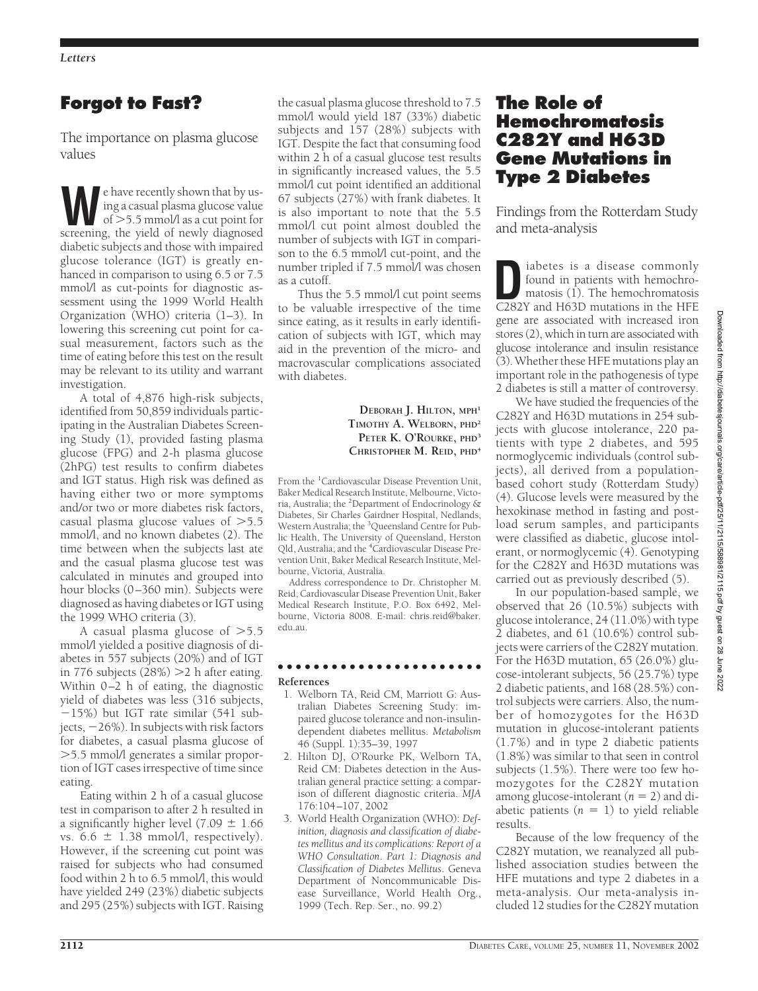# **Forgot to Fast?**

The importance on plasma glucose values

Example have recently shown that by using a casual plasma glucose value<br>of  $>5.5$  mmol/l as a cut point for<br>screening the vield of newly diagnosed ing a casual plasma glucose value of 5.5 mmol/l as a cut point for screening, the yield of newly diagnosed diabetic subjects and those with impaired glucose tolerance (IGT) is greatly enhanced in comparison to using 6.5 or 7.5 mmol/l as cut-points for diagnostic assessment using the 1999 World Health Organization (WHO) criteria (1–3). In lowering this screening cut point for casual measurement, factors such as the time of eating before this test on the result may be relevant to its utility and warrant investigation.

A total of 4,876 high-risk subjects, identified from 50,859 individuals participating in the Australian Diabetes Screening Study (1), provided fasting plasma glucose (FPG) and 2-h plasma glucose (2hPG) test results to confirm diabetes and IGT status. High risk was defined as having either two or more symptoms and/or two or more diabetes risk factors, casual plasma glucose values of  $>5.5$ mmol/l, and no known diabetes (2). The time between when the subjects last ate and the casual plasma glucose test was calculated in minutes and grouped into hour blocks (0–360 min). Subjects were diagnosed as having diabetes or IGT using the 1999 WHO criteria (3).

A casual plasma glucose of  $>5.5$ mmol/l yielded a positive diagnosis of diabetes in 557 subjects (20%) and of IGT in 776 subjects  $(28%) > 2$  h after eating. Within 0–2 h of eating, the diagnostic yield of diabetes was less (316 subjects, 15%) but IGT rate similar (541 subjects, 26%). In subjects with risk factors for diabetes, a casual plasma glucose of 5.5 mmol/l generates a similar proportion of IGT cases irrespective of time since eating.

Eating within 2 h of a casual glucose test in comparison to after 2 h resulted in a significantly higher level (7.09  $\pm$  1.66 vs.  $6.6 \pm 1.38$  mmol/l, respectively). However, if the screening cut point was raised for subjects who had consumed food within 2 h to 6.5 mmol/l, this would have yielded 249 (23%) diabetic subjects and 295 (25%) subjects with IGT. Raising

the casual plasma glucose threshold to 7.5 mmol/l would yield 187 (33%) diabetic subjects and 157 (28%) subjects with IGT. Despite the fact that consuming food within 2 h of a casual glucose test results in significantly increased values, the 5.5 mmol/l cut point identified an additional 67 subjects (27%) with frank diabetes. It is also important to note that the 5.5 mmol/l cut point almost doubled the number of subjects with IGT in comparison to the 6.5 mmol/l cut-point, and the number tripled if 7.5 mmol/l was chosen as a cutoff.

Thus the 5.5 mmol/l cut point seems to be valuable irrespective of the time since eating, as it results in early identification of subjects with IGT, which may aid in the prevention of the micro- and macrovascular complications associated with diabetes.

> **DEBORAH J. HILTON, MPH<sup>1</sup> TIMOTHY A. WELBORN, PHD<sup>2</sup> PETER K. O'ROURKE, PHD<sup>3</sup> CHRISTOPHER M. REID, PHD<sup>4</sup>**

From the <sup>1</sup>Cardiovascular Disease Prevention Unit, Baker Medical Research Institute, Melbourne, Victoria, Australia; the <sup>2</sup> Department of Endocrinology & Diabetes, Sir Charles Gairdner Hospital, Nedlands, Western Australia; the <sup>3</sup>Queensland Centre for Public Health, The University of Queensland, Herston Qld, Australia; and the <sup>4</sup>Cardiovascular Disease Prevention Unit, Baker Medical Research Institute, Melbourne, Victoria, Australia.

Address correspondence to Dr. Christopher M. Reid, Cardiovascular Disease Prevention Unit, Baker Medical Research Institute, P.O. Box 6492, Melbourne, Victoria 8008. E-mail: chris.reid@baker. edu.au.

### ●●●●●●●●●●●●●●●●●●●●●●● **References**

- 1. Welborn TA, Reid CM, Marriott G: Australian Diabetes Screening Study: impaired glucose tolerance and non-insulindependent diabetes mellitus. *Metabolism* 46 (Suppl. 1):35–39, 1997
- 2. Hilton DJ, O'Rourke PK, Welborn TA, Reid CM: Diabetes detection in the Australian general practice setting: a comparison of different diagnostic criteria. *MJA* 176:104–107, 2002
- 3. World Health Organization (WHO): *Definition, diagnosis and classification of diabetes mellitus and its complications: Report of a WHO Consultation*. *Part 1: Diagnosis and Classification of Diabetes Mellitus*. Geneva Department of Noncommunicable Disease Surveillance, World Health Org., 1999 (Tech. Rep. Ser., no. 99.2)

# **The Role of Hemochromatosis C282Y and H63D Gene Mutations in Type 2 Diabetes**

Findings from the Rotterdam Study and meta-analysis

iabetes is a disease commonly<br>found in patients with hemochromatosis<br>C282Y and H63D mutations in the HFF found in patients with hemochro-C282Y and H63D mutations in the HFE gene are associated with increased iron stores (2), which in turn are associated with glucose intolerance and insulin resistance (3). Whether these HFE mutations play an important role in the pathogenesis of type 2 diabetes is still a matter of controversy.

We have studied the frequencies of the C282Y and H63D mutations in 254 subjects with glucose intolerance, 220 patients with type 2 diabetes, and 595 normoglycemic individuals (control subjects), all derived from a populationbased cohort study (Rotterdam Study) (4). Glucose levels were measured by the hexokinase method in fasting and postload serum samples, and participants were classified as diabetic, glucose intolerant, or normoglycemic (4). Genotyping for the C282Y and H63D mutations was carried out as previously described (5).

In our population-based sample, we observed that 26 (10.5%) subjects with glucose intolerance, 24 (11.0%) with type 2 diabetes, and 61 (10.6%) control subjects were carriers of the C282Y mutation. For the H63D mutation, 65 (26.0%) glucose-intolerant subjects, 56 (25.7%) type 2 diabetic patients, and 168 (28.5%) control subjects were carriers. Also, the number of homozygotes for the H63D mutation in glucose-intolerant patients (1.7%) and in type 2 diabetic patients (1.8%) was similar to that seen in control subjects (1.5%). There were too few homozygotes for the C282Y mutation among glucose-intolerant  $(n = 2)$  and diabetic patients  $(n = 1)$  to yield reliable results.

Because of the low frequency of the C282Y mutation, we reanalyzed all published association studies between the HFE mutations and type 2 diabetes in a meta-analysis. Our meta-analysis included 12 studies for the C282Y mutation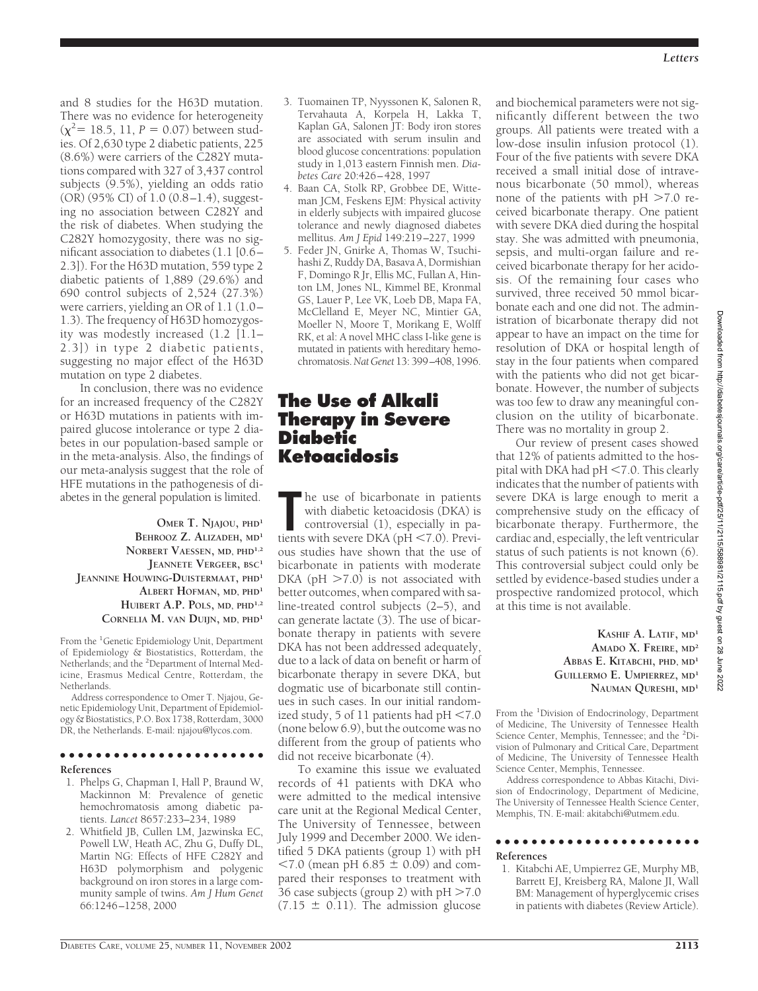and 8 studies for the H63D mutation. There was no evidence for heterogeneity  $(\chi^2$  = 18.5, 11, *P* = 0.07) between studies. Of 2,630 type 2 diabetic patients, 225 (8.6%) were carriers of the C282Y mutations compared with 327 of 3,437 control subjects (9.5%), yielding an odds ratio  $(OR)$  (95% CI) of 1.0 (0.8–1.4), suggesting no association between C282Y and the risk of diabetes. When studying the C282Y homozygosity, there was no significant association to diabetes (1.1 [0.6– 2.3]). For the H63D mutation, 559 type 2 diabetic patients of 1,889 (29.6%) and 690 control subjects of 2,524 (27.3%) were carriers, yielding an OR of 1.1 (1.0– 1.3). The frequency of H63D homozygosity was modestly increased (1.2 [1.1– 2.3]) in type 2 diabetic patients, suggesting no major effect of the H63D mutation on type 2 diabetes.

In conclusion, there was no evidence for an increased frequency of the C282Y or H63D mutations in patients with impaired glucose intolerance or type 2 diabetes in our population-based sample or in the meta-analysis. Also, the findings of our meta-analysis suggest that the role of HFE mutations in the pathogenesis of diabetes in the general population is limited.

**OMER T. NJAJOU, PHD<sup>1</sup> BEHROOZ Z. ALIZADEH, MD<sup>1</sup> NORBERT VAESSEN, MD, PHD1,2 JEANNETE VERGEER, BSC<sup>1</sup> JEANNINE HOUWING-DUISTERMAAT, PHD<sup>1</sup> ALBERT HOFMAN, MD, PHD<sup>1</sup> HUIBERT A.P. POLS, MD, PHD1,2 CORNELIA M. VAN DUIJN, MD, PHD<sup>1</sup>**

From the <sup>1</sup>Genetic Epidemiology Unit, Department of Epidemiology & Biostatistics, Rotterdam, the Netherlands; and the <sup>2</sup>Department of Internal Medicine, Erasmus Medical Centre, Rotterdam, the Netherlands.

Address correspondence to Omer T. Njajou, Genetic Epidemiology Unit, Department of Epidemiology & Biostatistics, P.O. Box 1738, Rotterdam, 3000 DR, the Netherlands. E-mail: njajou@lycos.com.

### ●●●●●●●●●●●●●●●●●●●●●●●

#### **References**

- 1. Phelps G, Chapman I, Hall P, Braund W, Mackinnon M: Prevalence of genetic hemochromatosis among diabetic patients. *Lancet* 8657:233–234, 1989
- 2. Whitfield JB, Cullen LM, Jazwinska EC, Powell LW, Heath AC, Zhu G, Duffy DL, Martin NG: Effects of HFE C282Y and H63D polymorphism and polygenic background on iron stores in a large community sample of twins. *Am J Hum Genet* 66:1246–1258, 2000
- 3. Tuomainen TP, Nyyssonen K, Salonen R, Tervahauta A, Korpela H, Lakka T, Kaplan GA, Salonen JT: Body iron stores are associated with serum insulin and blood glucose concentrations: population study in 1,013 eastern Finnish men. *Diabetes Care* 20:426–428, 1997
- 4. Baan CA, Stolk RP, Grobbee DE, Witteman JCM, Feskens EJM: Physical activity in elderly subjects with impaired glucose tolerance and newly diagnosed diabetes mellitus. *Am J Epid* 149:219–227, 1999
- 5. Feder JN, Gnirke A, Thomas W, Tsuchihashi Z, Ruddy DA, Basava A, Dormishian F, Domingo R Jr, Ellis MC, Fullan A, Hinton LM, Jones NL, Kimmel BE, Kronmal GS, Lauer P, Lee VK, Loeb DB, Mapa FA, McClelland E, Meyer NC, Mintier GA, Moeller N, Moore T, Morikang E, Wolff RK, et al: A novel MHC class I-like gene is mutated in patients with hereditary hemochromatosis.*Nat Genet* 13: 399–408, 1996.

# **The Use of Alkali Therapy in Severe Diabetic Ketoacidosis**

The use of bicarbonate in patients<br>with diabetic ketoacidosis (DKA) is<br>controversial (1), especially in pa-<br>tients with severe DKA (pH <7.0). Previhe use of bicarbonate in patients with diabetic ketoacidosis (DKA) is controversial (1), especially in paous studies have shown that the use of bicarbonate in patients with moderate DKA ( $pH > 7.0$ ) is not associated with better outcomes, when compared with saline-treated control subjects (2–5), and can generate lactate (3). The use of bicarbonate therapy in patients with severe DKA has not been addressed adequately, due to a lack of data on benefit or harm of bicarbonate therapy in severe DKA, but dogmatic use of bicarbonate still continues in such cases. In our initial randomized study, 5 of 11 patients had  $pH < 7.0$ (none below 6.9), but the outcome was no different from the group of patients who did not receive bicarbonate (4).

To examine this issue we evaluated records of 41 patients with DKA who were admitted to the medical intensive care unit at the Regional Medical Center, The University of Tennessee, between July 1999 and December 2000. We identified 5 DKA patients (group 1) with pH  $< 7.0$  (mean pH 6.85  $\pm$  0.09) and compared their responses to treatment with 36 case subjects (group 2) with  $pH > 7.0$  $(7.15 \pm 0.11)$ . The admission glucose

and biochemical parameters were not significantly different between the two groups. All patients were treated with a low-dose insulin infusion protocol (1). Four of the five patients with severe DKA received a small initial dose of intravenous bicarbonate (50 mmol), whereas none of the patients with  $pH > 7.0$  received bicarbonate therapy. One patient with severe DKA died during the hospital stay. She was admitted with pneumonia, sepsis, and multi-organ failure and received bicarbonate therapy for her acidosis. Of the remaining four cases who survived, three received 50 mmol bicarbonate each and one did not. The administration of bicarbonate therapy did not appear to have an impact on the time for resolution of DKA or hospital length of stay in the four patients when compared with the patients who did not get bicarbonate. However, the number of subjects was too few to draw any meaningful conclusion on the utility of bicarbonate. There was no mortality in group 2.

Our review of present cases showed that 12% of patients admitted to the hospital with DKA had  $pH < 7.0$ . This clearly indicates that the number of patients with severe DKA is large enough to merit a comprehensive study on the efficacy of bicarbonate therapy. Furthermore, the cardiac and, especially, the left ventricular status of such patients is not known (6). This controversial subject could only be settled by evidence-based studies under a prospective randomized protocol, which at this time is not available.

> **KASHIF A. LATIF, MD<sup>1</sup> AMADO X. FREIRE, MD<sup>2</sup> ABBAS E. KITABCHI, PHD, MD<sup>1</sup> GUILLERMO E. UMPIERREZ, MD<sup>1</sup> NAUMAN QURESHI, MD<sup>1</sup>**

From the <sup>1</sup>Division of Endocrinology, Department of Medicine, The University of Tennessee Health Science Center, Memphis, Tennessee; and the <sup>2</sup>Division of Pulmonary and Critical Care, Department of Medicine, The University of Tennessee Health Science Center, Memphis, Tennessee.

Address correspondence to Abbas Kitachi, Division of Endocrinology, Department of Medicine, The University of Tennessee Health Science Center, Memphis, TN. E-mail: akitabchi@utmem.edu.

#### ●●●●●●●●●●●●●●●●●●●●●●●

#### **References**

1. Kitabchi AE, Umpierrez GE, Murphy MB, Barrett EJ, Kreisberg RA, Malone JI, Wall BM: Management of hyperglycemic crises in patients with diabetes (Review Article).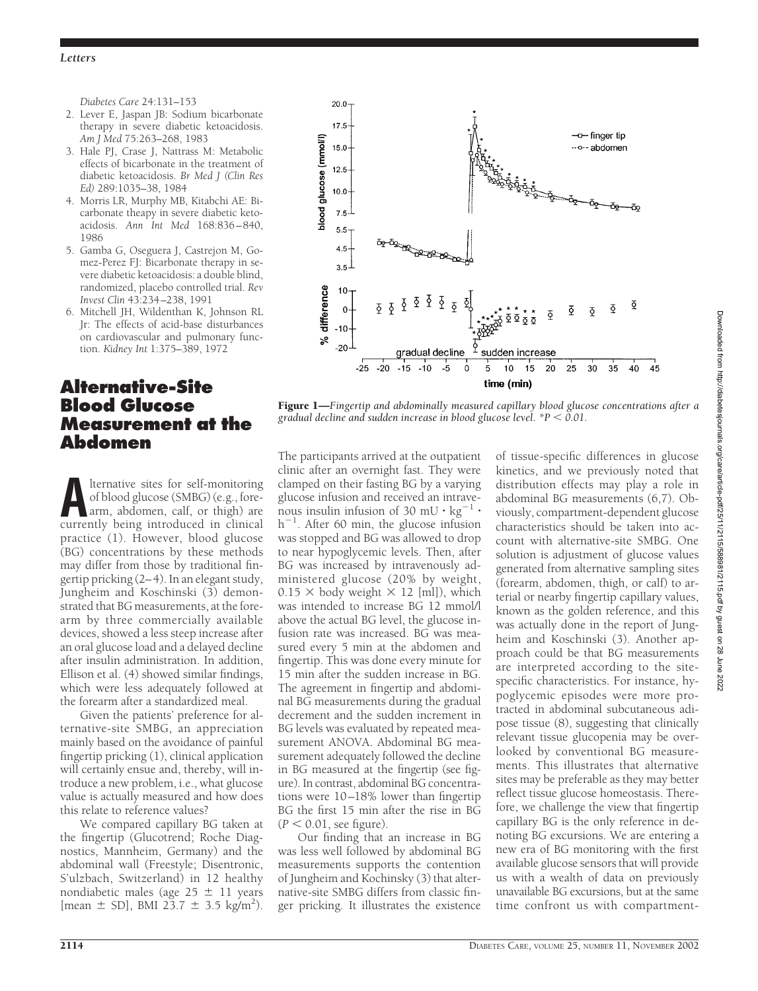*Diabetes Care* 24:131–153

- 2. Lever E, Jaspan JB: Sodium bicarbonate therapy in severe diabetic ketoacidosis. *Am J Med* 75:263–268, 1983
- 3. Hale PJ, Crase J, Nattrass M: Metabolic effects of bicarbonate in the treatment of diabetic ketoacidosis. *Br Med J (Clin Res Ed)* 289:1035–38, 1984
- 4. Morris LR, Murphy MB, Kitabchi AE: Bicarbonate theapy in severe diabetic ketoacidosis. *Ann Int Med* 168:836–840, 1986
- 5. Gamba G, Oseguera J, Castrejon M, Gomez-Perez FJ: Bicarbonate therapy in severe diabetic ketoacidosis: a double blind, randomized, placebo controlled trial. *Rev Invest Clin* 43:234–238, 1991
- 6. Mitchell JH, Wildenthan K, Johnson RL Jr: The effects of acid-base disturbances on cardiovascular and pulmonary function. *Kidney Int* 1:375–389, 1972

# **Alternative-Site Blood Glucose Measurement at the Abdomen**

**ALTERNATIVE SITES SET SELF-MONITORY OF SHOW SET AND APPLY AT APPLY AND APPLY AND APPLY ALTERNATIVE SET AND APPLY A CULTURE SET AND APPLY A CULTURE SET AND APPLY A CULTURE SET AND APPLY A CULTURE SET AND APPLY A CULTURE SE** of blood glucose (SMBG) (e.g., forearm, abdomen, calf, or thigh) are currently being introduced in clinical practice (1). However, blood glucose (BG) concentrations by these methods may differ from those by traditional fingertip pricking (2–4). In an elegant study, Jungheim and Koschinski (3) demonstrated that BG measurements, at the forearm by three commercially available devices, showed a less steep increase after an oral glucose load and a delayed decline after insulin administration. In addition, Ellison et al. (4) showed similar findings, which were less adequately followed at the forearm after a standardized meal.

Given the patients' preference for alternative-site SMBG, an appreciation mainly based on the avoidance of painful fingertip pricking (1), clinical application will certainly ensue and, thereby, will introduce a new problem, i.e., what glucose value is actually measured and how does this relate to reference values?

We compared capillary BG taken at the fingertip (Glucotrend; Roche Diagnostics, Mannheim, Germany) and the abdominal wall (Freestyle; Disentronic, S'ulzbach, Switzerland) in 12 healthy nondiabetic males (age  $25 \pm 11$  years  $[mean \pm SD]$ , BMI 23.7  $\pm$  3.5 kg/m<sup>2</sup>).



Figure 1—*Fingertip and abdominally measured capillary blood glucose concentrations after a gradual decline and sudden increase in blood glucose level. \*P 0.01.*

The participants arrived at the outpatient clinic after an overnight fast. They were clamped on their fasting BG by a varying glucose infusion and received an intravenous insulin infusion of 30 mU  $\cdot$  kg $^{-1}$   $\cdot$ h 1 . After 60 min, the glucose infusion was stopped and BG was allowed to drop to near hypoglycemic levels. Then, after BG was increased by intravenously administered glucose (20% by weight,  $0.15 \times$  body weight  $\times$  12 [ml]), which was intended to increase BG 12 mmol/l above the actual BG level, the glucose infusion rate was increased. BG was measured every 5 min at the abdomen and fingertip. This was done every minute for 15 min after the sudden increase in BG. The agreement in fingertip and abdominal BG measurements during the gradual decrement and the sudden increment in BG levels was evaluated by repeated measurement ANOVA. Abdominal BG measurement adequately followed the decline in BG measured at the fingertip (see figure). In contrast, abdominal BG concentrations were 10–18% lower than fingertip BG the first 15 min after the rise in BG  $(P < 0.01$ , see figure).

Our finding that an increase in BG was less well followed by abdominal BG measurements supports the contention of Jungheim and Kochinsky (3) that alternative-site SMBG differs from classic finger pricking. It illustrates the existence

of tissue-specific differences in glucose kinetics, and we previously noted that distribution effects may play a role in abdominal BG measurements (6,7). Obviously, compartment-dependent glucose characteristics should be taken into account with alternative-site SMBG. One solution is adjustment of glucose values generated from alternative sampling sites (forearm, abdomen, thigh, or calf) to arterial or nearby fingertip capillary values, known as the golden reference, and this was actually done in the report of Jungheim and Koschinski (3). Another approach could be that BG measurements are interpreted according to the sitespecific characteristics. For instance, hypoglycemic episodes were more protracted in abdominal subcutaneous adipose tissue (8), suggesting that clinically relevant tissue glucopenia may be overlooked by conventional BG measurements. This illustrates that alternative sites may be preferable as they may better reflect tissue glucose homeostasis. Therefore, we challenge the view that fingertip capillary BG is the only reference in denoting BG excursions. We are entering a new era of BG monitoring with the first available glucose sensors that will provide us with a wealth of data on previously unavailable BG excursions, but at the same time confront us with compartment-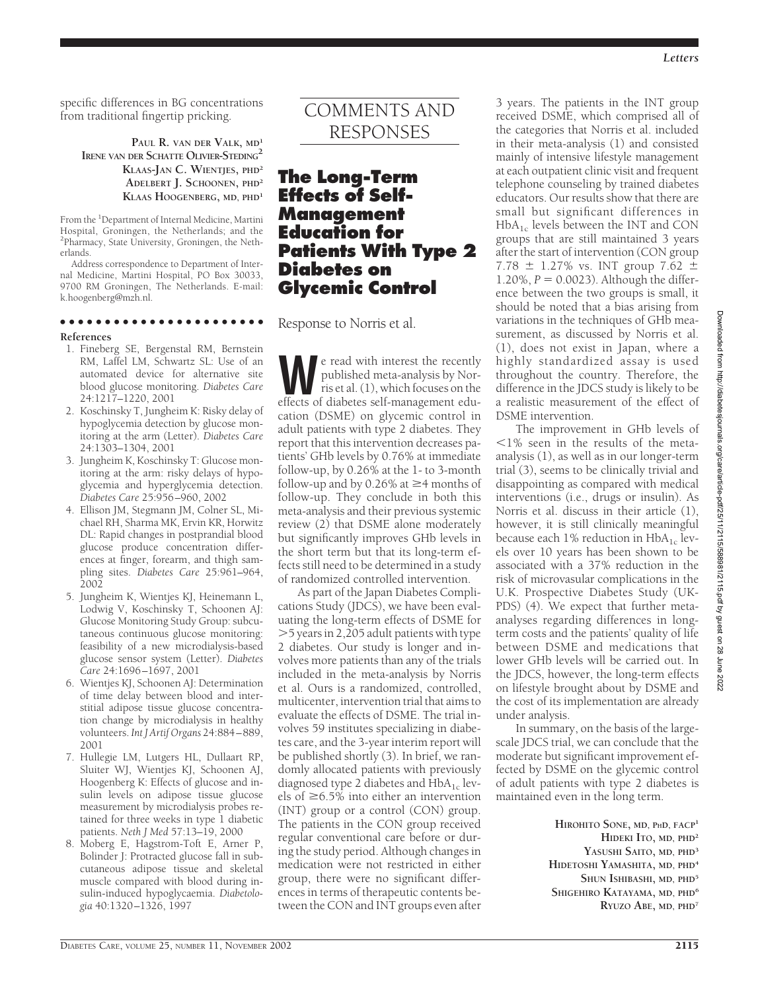*Letters*

specific differences in BG concentrations from traditional fingertip pricking.

> **PAUL R. VAN DER VALK, MD<sup>1</sup> IRENE VAN DER SCHATTE OLIVIER-STEDING2 KLAAS-JAN C. WIENTJES, PHD<sup>2</sup> ADELBERT J. SCHOONEN, PHD<sup>2</sup> KLAAS HOOGENBERG, MD, PHD<sup>1</sup>**

From the <sup>1</sup>Department of Internal Medicine, Martini Hospital, Groningen, the Netherlands; and the 2 Pharmacy, State University, Groningen, the Netherlands.

Address correspondence to Department of Internal Medicine, Martini Hospital, PO Box 30033, 9700 RM Groningen, The Netherlands. E-mail: k.hoogenberg@mzh.nl.

### ●●●●●●●●●●●●●●●●●●●●●●●

#### **References**

- 1. Fineberg SE, Bergenstal RM, Bernstein RM, Laffel LM, Schwartz SL: Use of an automated device for alternative site blood glucose monitoring. *Diabetes Care* 24:1217–1220, 2001
- 2. Koschinsky T, Jungheim K: Risky delay of hypoglycemia detection by glucose monitoring at the arm (Letter). *Diabetes Care* 24:1303–1304, 2001
- 3. Jungheim K, Koschinsky T: Glucose monitoring at the arm: risky delays of hypoglycemia and hyperglycemia detection. *Diabetes Care* 25:956–960, 2002
- 4. Ellison JM, Stegmann JM, Colner SL, Michael RH, Sharma MK, Ervin KR, Horwitz DL: Rapid changes in postprandial blood glucose produce concentration differences at finger, forearm, and thigh sampling sites. *Diabetes Care* 25:961–964, 2002
- 5. Jungheim K, Wientjes KJ, Heinemann L, Lodwig V, Koschinsky T, Schoonen AJ: Glucose Monitoring Study Group: subcutaneous continuous glucose monitoring: feasibility of a new microdialysis-based glucose sensor system (Letter). *Diabetes Care* 24:1696–1697, 2001
- 6. Wientjes KJ, Schoonen AJ: Determination of time delay between blood and interstitial adipose tissue glucose concentration change by microdialysis in healthy volunteers. *Int J Artif Organs* 24:884–889, 2001
- 7. Hullegie LM, Lutgers HL, Dullaart RP, Sluiter WJ, Wientjes KJ, Schoonen AJ, Hoogenberg K: Effects of glucose and insulin levels on adipose tissue glucose measurement by microdialysis probes retained for three weeks in type 1 diabetic patients. *Neth J Med* 57:13–19, 2000
- 8. Moberg E, Hagstrom-Toft E, Arner P, Bolinder J: Protracted glucose fall in subcutaneous adipose tissue and skeletal muscle compared with blood during insulin-induced hypoglycaemia. *Diabetologia* 40:1320–1326, 1997

# COMMENTS AND RESPONSES

# **The Long-Term Effects of Self-Management Education for Patients With Type 2 Diabetes on Glycemic Control**

Response to Norris et al.

e read with interest the recently<br>published meta-analysis by Nor-<br>ris et al. (1), which focuses on the<br>effects of diabetes self-management edupublished meta-analysis by Norris et al. (1), which focuses on the effects of diabetes self-management education (DSME) on glycemic control in adult patients with type 2 diabetes. They report that this intervention decreases patients' GHb levels by 0.76% at immediate follow-up, by 0.26% at the 1- to 3-month follow-up and by 0.26% at  $\geq$ 4 months of follow-up. They conclude in both this meta-analysis and their previous systemic review (2) that DSME alone moderately but significantly improves GHb levels in the short term but that its long-term effects still need to be determined in a study of randomized controlled intervention.

As part of the Japan Diabetes Complications Study (JDCS), we have been evaluating the long-term effects of DSME for 5 years in 2,205 adult patients with type 2 diabetes. Our study is longer and involves more patients than any of the trials included in the meta-analysis by Norris et al. Ours is a randomized, controlled, multicenter, intervention trial that aims to evaluate the effects of DSME. The trial involves 59 institutes specializing in diabetes care, and the 3-year interim report will be published shortly (3). In brief, we randomly allocated patients with previously diagnosed type 2 diabetes and  $HbA_{1c}$  levels of  $\geq$ 6.5% into either an intervention (INT) group or a control (CON) group. The patients in the CON group received regular conventional care before or during the study period. Although changes in medication were not restricted in either group, there were no significant differences in terms of therapeutic contents between the CON and INT groups even after

3 years. The patients in the INT group received DSME, which comprised all of the categories that Norris et al. included in their meta-analysis (1) and consisted mainly of intensive lifestyle management at each outpatient clinic visit and frequent telephone counseling by trained diabetes educators. Our results show that there are small but significant differences in  $HbA_{1c}$  levels between the INT and CON groups that are still maintained 3 years after the start of intervention (CON group 7.78  $\pm$  1.27% vs. INT group 7.62  $\pm$ 1.20%,  $P = 0.0023$ ). Although the difference between the two groups is small, it should be noted that a bias arising from variations in the techniques of GHb measurement, as discussed by Norris et al. (1), does not exist in Japan, where a highly standardized assay is used throughout the country. Therefore, the difference in the JDCS study is likely to be a realistic measurement of the effect of DSME intervention.

The improvement in GHb levels of  $1\%$  seen in the results of the metaanalysis (1), as well as in our longer-term trial (3), seems to be clinically trivial and disappointing as compared with medical interventions (i.e., drugs or insulin). As Norris et al. discuss in their article (1), however, it is still clinically meaningful because each 1% reduction in  $HbA_{1c}$  levels over 10 years has been shown to be associated with a 37% reduction in the risk of microvasular complications in the U.K. Prospective Diabetes Study (UK-PDS) (4). We expect that further metaanalyses regarding differences in longterm costs and the patients' quality of life between DSME and medications that lower GHb levels will be carried out. In the JDCS, however, the long-term effects on lifestyle brought about by DSME and the cost of its implementation are already under analysis.

In summary, on the basis of the largescale JDCS trial, we can conclude that the moderate but significant improvement effected by DSME on the glycemic control of adult patients with type 2 diabetes is maintained even in the long term.

> **HIROHITO SONE, MD, PHD, FACP<sup>1</sup> HIDEKI ITO, MD, PHD<sup>2</sup> YASUSHI SAITO, MD, PHD<sup>3</sup> HIDETOSHI YAMASHITA, MD, PHD<sup>4</sup> SHUN ISHIBASHI, MD, PHD<sup>5</sup> SHIGEHIRO KATAYAMA, MD, PHD<sup>6</sup> RYUZO ABE, MD, PHD<sup>7</sup>**